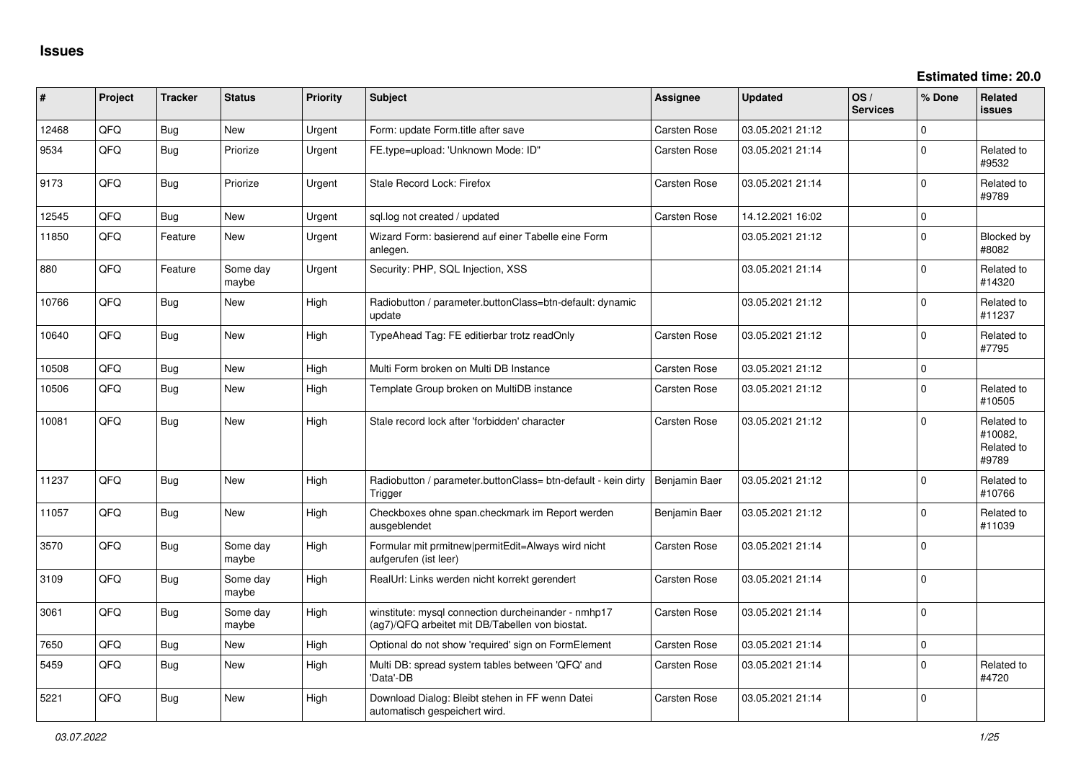| ∦     | Project | <b>Tracker</b> | <b>Status</b>     | Priority | <b>Subject</b>                                                                                         | <b>Assignee</b>     | <b>Updated</b>   | OS/<br><b>Services</b> | % Done      | Related<br><b>issues</b>                     |
|-------|---------|----------------|-------------------|----------|--------------------------------------------------------------------------------------------------------|---------------------|------------------|------------------------|-------------|----------------------------------------------|
| 12468 | QFQ     | Bug            | <b>New</b>        | Urgent   | Form: update Form.title after save                                                                     | Carsten Rose        | 03.05.2021 21:12 |                        | $\Omega$    |                                              |
| 9534  | QFQ     | Bug            | Priorize          | Urgent   | FE.type=upload: 'Unknown Mode: ID"                                                                     | <b>Carsten Rose</b> | 03.05.2021 21:14 |                        | $\Omega$    | Related to<br>#9532                          |
| 9173  | QFQ     | Bug            | Priorize          | Urgent   | Stale Record Lock: Firefox                                                                             | <b>Carsten Rose</b> | 03.05.2021 21:14 |                        | $\Omega$    | Related to<br>#9789                          |
| 12545 | QFQ     | Bug            | <b>New</b>        | Urgent   | sql.log not created / updated                                                                          | <b>Carsten Rose</b> | 14.12.2021 16:02 |                        | $\mathbf 0$ |                                              |
| 11850 | QFQ     | Feature        | New               | Urgent   | Wizard Form: basierend auf einer Tabelle eine Form<br>anlegen.                                         |                     | 03.05.2021 21:12 |                        | $\Omega$    | Blocked by<br>#8082                          |
| 880   | QFQ     | Feature        | Some day<br>maybe | Urgent   | Security: PHP, SQL Injection, XSS                                                                      |                     | 03.05.2021 21:14 |                        | $\Omega$    | Related to<br>#14320                         |
| 10766 | QFQ     | Bug            | New               | High     | Radiobutton / parameter.buttonClass=btn-default: dynamic<br>update                                     |                     | 03.05.2021 21:12 |                        | $\Omega$    | Related to<br>#11237                         |
| 10640 | QFQ     | Bug            | New               | High     | TypeAhead Tag: FE editierbar trotz readOnly                                                            | <b>Carsten Rose</b> | 03.05.2021 21:12 |                        | $\Omega$    | Related to<br>#7795                          |
| 10508 | QFQ     | Bug            | New               | High     | Multi Form broken on Multi DB Instance                                                                 | <b>Carsten Rose</b> | 03.05.2021 21:12 |                        | $\Omega$    |                                              |
| 10506 | QFQ     | Bug            | New               | High     | Template Group broken on MultiDB instance                                                              | <b>Carsten Rose</b> | 03.05.2021 21:12 |                        | $\Omega$    | Related to<br>#10505                         |
| 10081 | QFQ     | Bug            | <b>New</b>        | High     | Stale record lock after 'forbidden' character                                                          | <b>Carsten Rose</b> | 03.05.2021 21:12 |                        | $\Omega$    | Related to<br>#10082,<br>Related to<br>#9789 |
| 11237 | QFQ     | Bug            | New               | High     | Radiobutton / parameter.buttonClass= btn-default - kein dirty<br>Trigger                               | Benjamin Baer       | 03.05.2021 21:12 |                        | $\Omega$    | Related to<br>#10766                         |
| 11057 | QFQ     | <b>Bug</b>     | New               | High     | Checkboxes ohne span.checkmark im Report werden<br>ausgeblendet                                        | Benjamin Baer       | 03.05.2021 21:12 |                        | $\Omega$    | Related to<br>#11039                         |
| 3570  | QFQ     | <b>Bug</b>     | Some day<br>maybe | High     | Formular mit prmitnew permitEdit=Always wird nicht<br>aufgerufen (ist leer)                            | <b>Carsten Rose</b> | 03.05.2021 21:14 |                        | $\Omega$    |                                              |
| 3109  | QFQ     | <b>Bug</b>     | Some day<br>maybe | High     | RealUrl: Links werden nicht korrekt gerendert                                                          | Carsten Rose        | 03.05.2021 21:14 |                        | $\Omega$    |                                              |
| 3061  | QFQ     | Bug            | Some day<br>maybe | High     | winstitute: mysql connection durcheinander - nmhp17<br>(ag7)/QFQ arbeitet mit DB/Tabellen von biostat. | Carsten Rose        | 03.05.2021 21:14 |                        | $\Omega$    |                                              |
| 7650  | QFQ     | Bug            | New               | High     | Optional do not show 'required' sign on FormElement                                                    | <b>Carsten Rose</b> | 03.05.2021 21:14 |                        | $\mathbf 0$ |                                              |
| 5459  | QFQ     | <b>Bug</b>     | New               | High     | Multi DB: spread system tables between 'QFQ' and<br>'Data'-DB                                          | Carsten Rose        | 03.05.2021 21:14 |                        | $\Omega$    | Related to<br>#4720                          |
| 5221  | QFQ     | Bug            | New               | High     | Download Dialog: Bleibt stehen in FF wenn Datei<br>automatisch gespeichert wird.                       | <b>Carsten Rose</b> | 03.05.2021 21:14 |                        | $\Omega$    |                                              |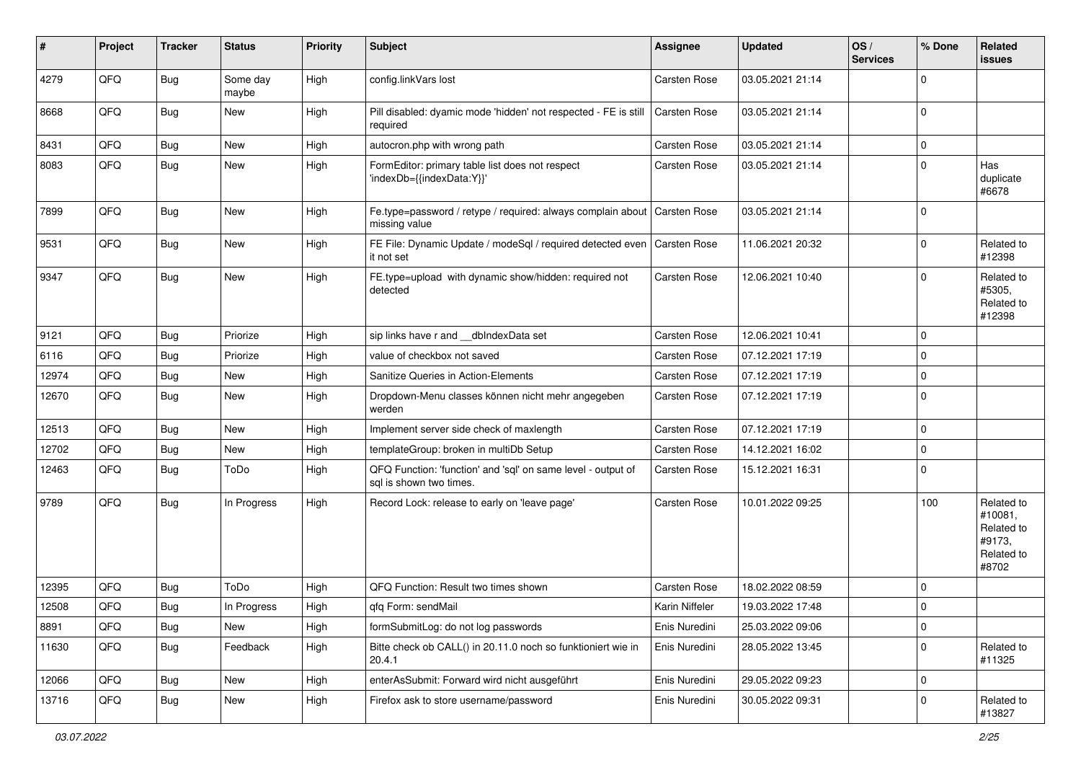| #     | Project | <b>Tracker</b> | <b>Status</b>     | <b>Priority</b> | <b>Subject</b>                                                                          | <b>Assignee</b> | <b>Updated</b>   | OS/<br><b>Services</b> | % Done      | Related<br><b>issues</b>                                             |
|-------|---------|----------------|-------------------|-----------------|-----------------------------------------------------------------------------------------|-----------------|------------------|------------------------|-------------|----------------------------------------------------------------------|
| 4279  | QFQ     | <b>Bug</b>     | Some day<br>maybe | High            | config.linkVars lost                                                                    | Carsten Rose    | 03.05.2021 21:14 |                        | $\mathbf 0$ |                                                                      |
| 8668  | QFQ     | Bug            | New               | High            | Pill disabled: dyamic mode 'hidden' not respected - FE is still<br>required             | Carsten Rose    | 03.05.2021 21:14 |                        | $\mathbf 0$ |                                                                      |
| 8431  | QFQ     | Bug            | <b>New</b>        | High            | autocron.php with wrong path                                                            | Carsten Rose    | 03.05.2021 21:14 |                        | $\mathbf 0$ |                                                                      |
| 8083  | QFQ     | Bug            | New               | High            | FormEditor: primary table list does not respect<br>'indexDb={{indexData:Y}}'            | Carsten Rose    | 03.05.2021 21:14 |                        | $\mathbf 0$ | Has<br>duplicate<br>#6678                                            |
| 7899  | QFQ     | Bug            | <b>New</b>        | High            | Fe.type=password / retype / required: always complain about<br>missing value            | Carsten Rose    | 03.05.2021 21:14 |                        | $\mathbf 0$ |                                                                      |
| 9531  | QFQ     | Bug            | New               | High            | FE File: Dynamic Update / modeSql / required detected even<br>it not set                | Carsten Rose    | 11.06.2021 20:32 |                        | $\mathbf 0$ | Related to<br>#12398                                                 |
| 9347  | QFQ     | Bug            | New               | High            | FE.type=upload with dynamic show/hidden: required not<br>detected                       | Carsten Rose    | 12.06.2021 10:40 |                        | $\mathbf 0$ | Related to<br>#5305,<br>Related to<br>#12398                         |
| 9121  | QFQ     | Bug            | Priorize          | High            | sip links have r and __dbIndexData set                                                  | Carsten Rose    | 12.06.2021 10:41 |                        | $\mathbf 0$ |                                                                      |
| 6116  | QFQ     | <b>Bug</b>     | Priorize          | High            | value of checkbox not saved                                                             | Carsten Rose    | 07.12.2021 17:19 |                        | $\mathbf 0$ |                                                                      |
| 12974 | QFQ     | Bug            | <b>New</b>        | High            | Sanitize Queries in Action-Elements                                                     | Carsten Rose    | 07.12.2021 17:19 |                        | $\mathbf 0$ |                                                                      |
| 12670 | QFQ     | Bug            | <b>New</b>        | High            | Dropdown-Menu classes können nicht mehr angegeben<br>werden                             | Carsten Rose    | 07.12.2021 17:19 |                        | $\mathbf 0$ |                                                                      |
| 12513 | QFQ     | Bug            | New               | High            | Implement server side check of maxlength                                                | Carsten Rose    | 07.12.2021 17:19 |                        | $\mathbf 0$ |                                                                      |
| 12702 | QFQ     | Bug            | <b>New</b>        | High            | templateGroup: broken in multiDb Setup                                                  | Carsten Rose    | 14.12.2021 16:02 |                        | $\mathbf 0$ |                                                                      |
| 12463 | QFQ     | Bug            | ToDo              | High            | QFQ Function: 'function' and 'sql' on same level - output of<br>sql is shown two times. | Carsten Rose    | 15.12.2021 16:31 |                        | $\mathbf 0$ |                                                                      |
| 9789  | QFQ     | Bug            | In Progress       | High            | Record Lock: release to early on 'leave page'                                           | Carsten Rose    | 10.01.2022 09:25 |                        | 100         | Related to<br>#10081,<br>Related to<br>#9173,<br>Related to<br>#8702 |
| 12395 | QFQ     | Bug            | ToDo              | High            | QFQ Function: Result two times shown                                                    | Carsten Rose    | 18.02.2022 08:59 |                        | $\mathbf 0$ |                                                                      |
| 12508 | QFQ     | Bug            | In Progress       | High            | qfq Form: sendMail                                                                      | Karin Niffeler  | 19.03.2022 17:48 |                        | $\mathbf 0$ |                                                                      |
| 8891  | QFQ     | <b>Bug</b>     | New               | High            | formSubmitLog: do not log passwords                                                     | Enis Nuredini   | 25.03.2022 09:06 |                        | $\pmb{0}$   |                                                                      |
| 11630 | QFQ     | <b>Bug</b>     | Feedback          | High            | Bitte check ob CALL() in 20.11.0 noch so funktioniert wie in<br>20.4.1                  | Enis Nuredini   | 28.05.2022 13:45 |                        | $\mathbf 0$ | Related to<br>#11325                                                 |
| 12066 | QFQ     | <b>Bug</b>     | New               | High            | enterAsSubmit: Forward wird nicht ausgeführt                                            | Enis Nuredini   | 29.05.2022 09:23 |                        | $\mathbf 0$ |                                                                      |
| 13716 | QFQ     | <b>Bug</b>     | New               | High            | Firefox ask to store username/password                                                  | Enis Nuredini   | 30.05.2022 09:31 |                        | 0           | Related to<br>#13827                                                 |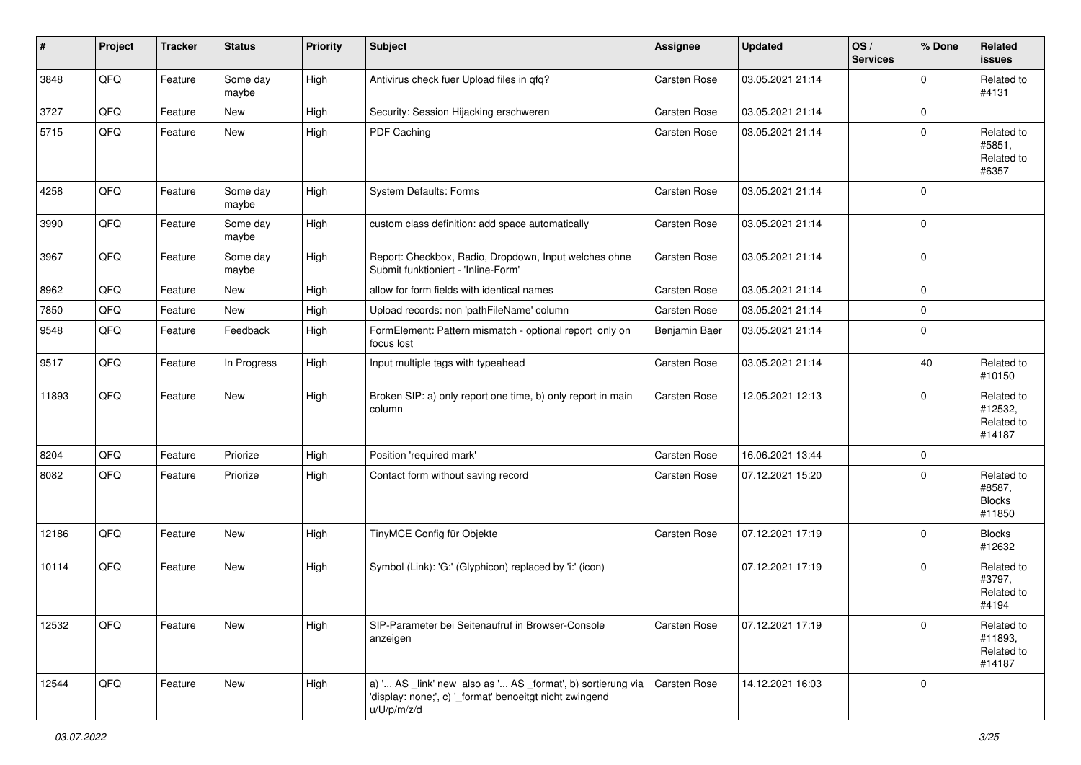| #     | Project | <b>Tracker</b> | <b>Status</b>     | <b>Priority</b> | Subject                                                                                                                               | Assignee      | <b>Updated</b>   | OS/<br><b>Services</b> | % Done      | Related<br>issues                               |
|-------|---------|----------------|-------------------|-----------------|---------------------------------------------------------------------------------------------------------------------------------------|---------------|------------------|------------------------|-------------|-------------------------------------------------|
| 3848  | QFQ     | Feature        | Some day<br>maybe | High            | Antivirus check fuer Upload files in qfq?                                                                                             | Carsten Rose  | 03.05.2021 21:14 |                        | $\mathbf 0$ | Related to<br>#4131                             |
| 3727  | QFQ     | Feature        | New               | High            | Security: Session Hijacking erschweren                                                                                                | Carsten Rose  | 03.05.2021 21:14 |                        | $\mathbf 0$ |                                                 |
| 5715  | QFQ     | Feature        | New               | High            | PDF Caching                                                                                                                           | Carsten Rose  | 03.05.2021 21:14 |                        | $\mathbf 0$ | Related to<br>#5851,<br>Related to<br>#6357     |
| 4258  | QFQ     | Feature        | Some day<br>maybe | High            | System Defaults: Forms                                                                                                                | Carsten Rose  | 03.05.2021 21:14 |                        | $\mathbf 0$ |                                                 |
| 3990  | QFQ     | Feature        | Some day<br>maybe | High            | custom class definition: add space automatically                                                                                      | Carsten Rose  | 03.05.2021 21:14 |                        | $\mathbf 0$ |                                                 |
| 3967  | QFQ     | Feature        | Some day<br>maybe | High            | Report: Checkbox, Radio, Dropdown, Input welches ohne<br>Submit funktioniert - 'Inline-Form'                                          | Carsten Rose  | 03.05.2021 21:14 |                        | $\mathbf 0$ |                                                 |
| 8962  | QFQ     | Feature        | New               | High            | allow for form fields with identical names                                                                                            | Carsten Rose  | 03.05.2021 21:14 |                        | $\mathbf 0$ |                                                 |
| 7850  | QFQ     | Feature        | New               | High            | Upload records: non 'pathFileName' column                                                                                             | Carsten Rose  | 03.05.2021 21:14 |                        | $\mathbf 0$ |                                                 |
| 9548  | QFQ     | Feature        | Feedback          | High            | FormElement: Pattern mismatch - optional report only on<br>focus lost                                                                 | Benjamin Baer | 03.05.2021 21:14 |                        | $\mathbf 0$ |                                                 |
| 9517  | QFQ     | Feature        | In Progress       | High            | Input multiple tags with typeahead                                                                                                    | Carsten Rose  | 03.05.2021 21:14 |                        | 40          | Related to<br>#10150                            |
| 11893 | QFQ     | Feature        | New               | High            | Broken SIP: a) only report one time, b) only report in main<br>column                                                                 | Carsten Rose  | 12.05.2021 12:13 |                        | $\mathbf 0$ | Related to<br>#12532,<br>Related to<br>#14187   |
| 8204  | QFQ     | Feature        | Priorize          | High            | Position 'required mark'                                                                                                              | Carsten Rose  | 16.06.2021 13:44 |                        | $\mathbf 0$ |                                                 |
| 8082  | QFQ     | Feature        | Priorize          | High            | Contact form without saving record                                                                                                    | Carsten Rose  | 07.12.2021 15:20 |                        | $\mathbf 0$ | Related to<br>#8587,<br><b>Blocks</b><br>#11850 |
| 12186 | QFQ     | Feature        | New               | High            | TinyMCE Config für Objekte                                                                                                            | Carsten Rose  | 07.12.2021 17:19 |                        | $\mathbf 0$ | <b>Blocks</b><br>#12632                         |
| 10114 | QFQ     | Feature        | New               | High            | Symbol (Link): 'G:' (Glyphicon) replaced by 'i:' (icon)                                                                               |               | 07.12.2021 17:19 |                        | $\mathbf 0$ | Related to<br>#3797,<br>Related to<br>#4194     |
| 12532 | QFQ     | Feature        | New               | High            | SIP-Parameter bei Seitenaufruf in Browser-Console<br>anzeigen                                                                         | Carsten Rose  | 07.12.2021 17:19 |                        | $\mathbf 0$ | Related to<br>#11893,<br>Related to<br>#14187   |
| 12544 | QFQ     | Feature        | New               | High            | a) ' AS _link' new also as ' AS _format', b) sortierung via<br>'display: none;', c) '_format' benoeitgt nicht zwingend<br>u/U/p/m/z/d | Carsten Rose  | 14.12.2021 16:03 |                        | $\mathbf 0$ |                                                 |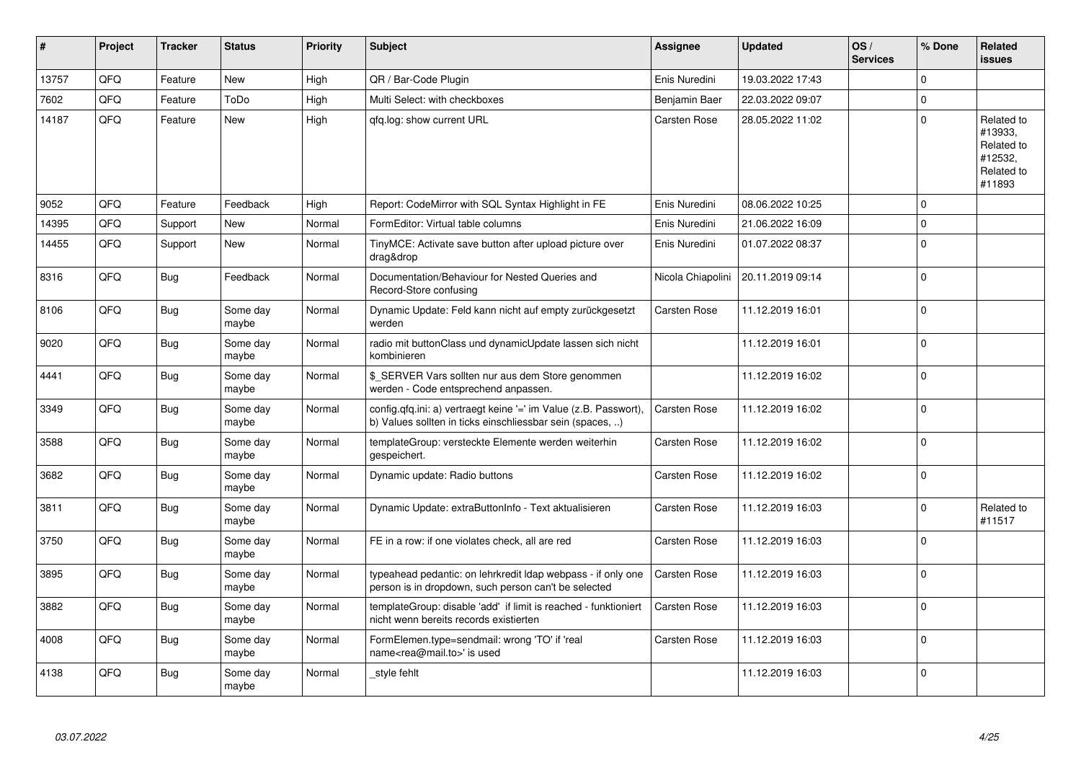| #     | Project | <b>Tracker</b> | <b>Status</b>     | <b>Priority</b> | <b>Subject</b>                                                                                                                | Assignee            | <b>Updated</b>   | OS/<br><b>Services</b> | % Done   | Related<br><b>issues</b>                                               |
|-------|---------|----------------|-------------------|-----------------|-------------------------------------------------------------------------------------------------------------------------------|---------------------|------------------|------------------------|----------|------------------------------------------------------------------------|
| 13757 | QFQ     | Feature        | <b>New</b>        | High            | QR / Bar-Code Plugin                                                                                                          | Enis Nuredini       | 19.03.2022 17:43 |                        | $\Omega$ |                                                                        |
| 7602  | QFQ     | Feature        | ToDo              | High            | Multi Select: with checkboxes                                                                                                 | Benjamin Baer       | 22.03.2022 09:07 |                        | $\Omega$ |                                                                        |
| 14187 | QFQ     | Feature        | New               | High            | gfg.log: show current URL                                                                                                     | <b>Carsten Rose</b> | 28.05.2022 11:02 |                        | $\Omega$ | Related to<br>#13933,<br>Related to<br>#12532,<br>Related to<br>#11893 |
| 9052  | QFQ     | Feature        | Feedback          | High            | Report: CodeMirror with SQL Syntax Highlight in FE                                                                            | Enis Nuredini       | 08.06.2022 10:25 |                        | $\Omega$ |                                                                        |
| 14395 | QFQ     | Support        | <b>New</b>        | Normal          | FormEditor: Virtual table columns                                                                                             | Enis Nuredini       | 21.06.2022 16:09 |                        | $\Omega$ |                                                                        |
| 14455 | QFQ     | Support        | New               | Normal          | TinyMCE: Activate save button after upload picture over<br>drag&drop                                                          | Enis Nuredini       | 01.07.2022 08:37 |                        | $\Omega$ |                                                                        |
| 8316  | QFQ     | <b>Bug</b>     | Feedback          | Normal          | Documentation/Behaviour for Nested Queries and<br>Record-Store confusing                                                      | Nicola Chiapolini   | 20.11.2019 09:14 |                        | $\Omega$ |                                                                        |
| 8106  | QFQ     | Bug            | Some day<br>maybe | Normal          | Dynamic Update: Feld kann nicht auf empty zurückgesetzt<br>werden                                                             | <b>Carsten Rose</b> | 11.12.2019 16:01 |                        | $\Omega$ |                                                                        |
| 9020  | QFQ     | <b>Bug</b>     | Some day<br>maybe | Normal          | radio mit buttonClass und dynamicUpdate lassen sich nicht<br>kombinieren                                                      |                     | 11.12.2019 16:01 |                        | $\Omega$ |                                                                        |
| 4441  | QFQ     | Bug            | Some day<br>maybe | Normal          | \$_SERVER Vars sollten nur aus dem Store genommen<br>werden - Code entsprechend anpassen.                                     |                     | 11.12.2019 16:02 |                        | $\Omega$ |                                                                        |
| 3349  | QFQ     | Bug            | Some day<br>maybe | Normal          | config.qfq.ini: a) vertraegt keine '=' im Value (z.B. Passwort),<br>b) Values sollten in ticks einschliessbar sein (spaces, ) | <b>Carsten Rose</b> | 11.12.2019 16:02 |                        | $\Omega$ |                                                                        |
| 3588  | QFQ     | <b>Bug</b>     | Some day<br>maybe | Normal          | templateGroup: versteckte Elemente werden weiterhin<br>gespeichert.                                                           | Carsten Rose        | 11.12.2019 16:02 |                        | $\Omega$ |                                                                        |
| 3682  | QFQ     | <b>Bug</b>     | Some day<br>maybe | Normal          | Dynamic update: Radio buttons                                                                                                 | Carsten Rose        | 11.12.2019 16:02 |                        | $\Omega$ |                                                                        |
| 3811  | QFQ     | Bug            | Some day<br>maybe | Normal          | Dynamic Update: extraButtonInfo - Text aktualisieren                                                                          | Carsten Rose        | 11.12.2019 16:03 |                        | $\Omega$ | Related to<br>#11517                                                   |
| 3750  | QFQ     | <b>Bug</b>     | Some day<br>maybe | Normal          | FE in a row: if one violates check, all are red                                                                               | Carsten Rose        | 11.12.2019 16:03 |                        | $\Omega$ |                                                                        |
| 3895  | QFQ     | <b>Bug</b>     | Some day<br>maybe | Normal          | typeahead pedantic: on lehrkredit Idap webpass - if only one<br>person is in dropdown, such person can't be selected          | <b>Carsten Rose</b> | 11.12.2019 16:03 |                        | $\Omega$ |                                                                        |
| 3882  | QFQ     | Bug            | Some day<br>maybe | Normal          | templateGroup: disable 'add' if limit is reached - funktioniert<br>nicht wenn bereits records existierten                     | <b>Carsten Rose</b> | 11.12.2019 16:03 |                        | $\Omega$ |                                                                        |
| 4008  | QFQ     | <b>Bug</b>     | Some day<br>maybe | Normal          | FormElemen.type=sendmail: wrong 'TO' if 'real<br>name <rea@mail.to>' is used</rea@mail.to>                                    | <b>Carsten Rose</b> | 11.12.2019 16:03 |                        | $\Omega$ |                                                                        |
| 4138  | QFQ     | Bug            | Some day<br>maybe | Normal          | _style fehlt                                                                                                                  |                     | 11.12.2019 16:03 |                        | $\Omega$ |                                                                        |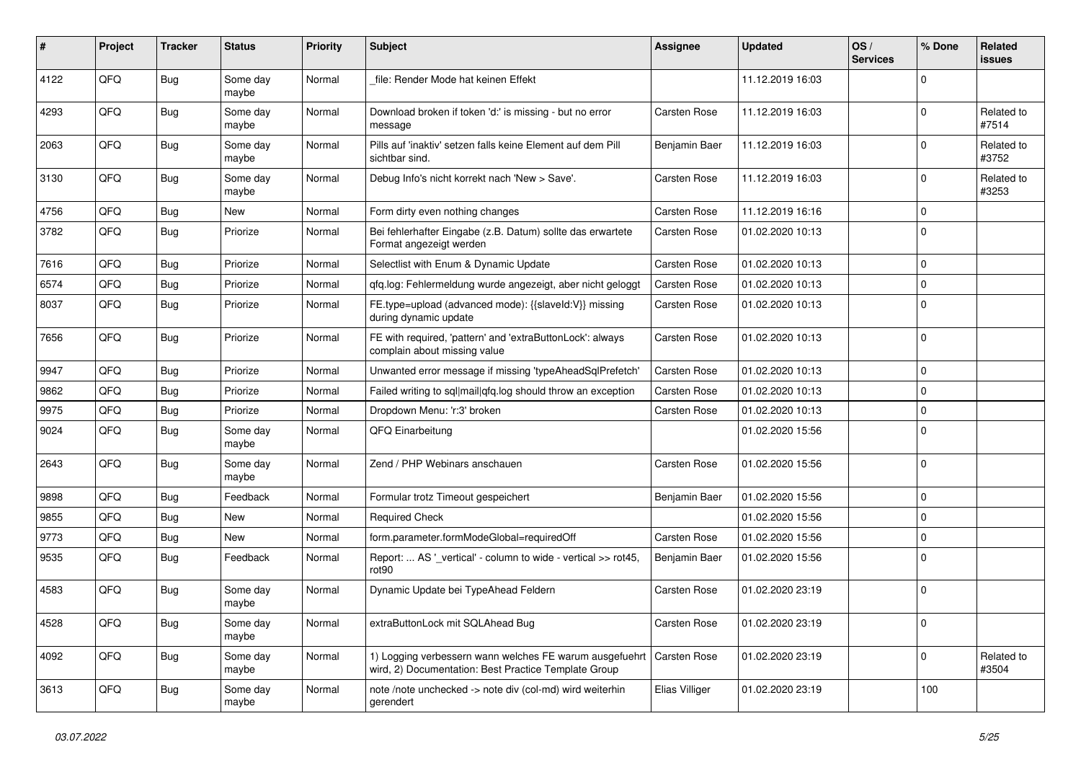| #    | Project | <b>Tracker</b> | <b>Status</b>     | <b>Priority</b> | <b>Subject</b>                                                                                                  | <b>Assignee</b> | <b>Updated</b>   | OS/<br><b>Services</b> | % Done      | Related<br><b>issues</b> |
|------|---------|----------------|-------------------|-----------------|-----------------------------------------------------------------------------------------------------------------|-----------------|------------------|------------------------|-------------|--------------------------|
| 4122 | QFQ     | Bug            | Some day<br>maybe | Normal          | file: Render Mode hat keinen Effekt                                                                             |                 | 11.12.2019 16:03 |                        | $\Omega$    |                          |
| 4293 | QFQ     | <b>Bug</b>     | Some day<br>maybe | Normal          | Download broken if token 'd:' is missing - but no error<br>message                                              | Carsten Rose    | 11.12.2019 16:03 |                        | $\Omega$    | Related to<br>#7514      |
| 2063 | QFQ     | Bug            | Some day<br>maybe | Normal          | Pills auf 'inaktiv' setzen falls keine Element auf dem Pill<br>sichtbar sind.                                   | Benjamin Baer   | 11.12.2019 16:03 |                        | $\Omega$    | Related to<br>#3752      |
| 3130 | QFQ     | Bug            | Some day<br>maybe | Normal          | Debug Info's nicht korrekt nach 'New > Save'.                                                                   | Carsten Rose    | 11.12.2019 16:03 |                        | $\Omega$    | Related to<br>#3253      |
| 4756 | QFQ     | <b>Bug</b>     | New               | Normal          | Form dirty even nothing changes                                                                                 | Carsten Rose    | 11.12.2019 16:16 |                        | $\Omega$    |                          |
| 3782 | QFQ     | Bug            | Priorize          | Normal          | Bei fehlerhafter Eingabe (z.B. Datum) sollte das erwartete<br>Format angezeigt werden                           | Carsten Rose    | 01.02.2020 10:13 |                        | $\Omega$    |                          |
| 7616 | QFQ     | Bug            | Priorize          | Normal          | Selectlist with Enum & Dynamic Update                                                                           | Carsten Rose    | 01.02.2020 10:13 |                        | $\mathbf 0$ |                          |
| 6574 | QFQ     | Bug            | Priorize          | Normal          | gfg.log: Fehlermeldung wurde angezeigt, aber nicht geloggt                                                      | Carsten Rose    | 01.02.2020 10:13 |                        | $\Omega$    |                          |
| 8037 | QFQ     | <b>Bug</b>     | Priorize          | Normal          | FE.type=upload (advanced mode): {{slaveId:V}} missing<br>during dynamic update                                  | Carsten Rose    | 01.02.2020 10:13 |                        | $\Omega$    |                          |
| 7656 | QFQ     | <b>Bug</b>     | Priorize          | Normal          | FE with required, 'pattern' and 'extraButtonLock': always<br>complain about missing value                       | Carsten Rose    | 01.02.2020 10:13 |                        | $\Omega$    |                          |
| 9947 | QFQ     | <b>Bug</b>     | Priorize          | Normal          | Unwanted error message if missing 'typeAheadSqlPrefetch'                                                        | Carsten Rose    | 01.02.2020 10:13 |                        | $\mathbf 0$ |                          |
| 9862 | QFQ     | Bug            | Priorize          | Normal          | Failed writing to sql mail qfq.log should throw an exception                                                    | Carsten Rose    | 01.02.2020 10:13 |                        | $\Omega$    |                          |
| 9975 | QFQ     | Bug            | Priorize          | Normal          | Dropdown Menu: 'r:3' broken                                                                                     | Carsten Rose    | 01.02.2020 10:13 |                        | $\mathbf 0$ |                          |
| 9024 | QFQ     | <b>Bug</b>     | Some day<br>maybe | Normal          | QFQ Einarbeitung                                                                                                |                 | 01.02.2020 15:56 |                        | $\Omega$    |                          |
| 2643 | QFQ     | Bug            | Some day<br>maybe | Normal          | Zend / PHP Webinars anschauen                                                                                   | Carsten Rose    | 01.02.2020 15:56 |                        | $\Omega$    |                          |
| 9898 | QFQ     | <b>Bug</b>     | Feedback          | Normal          | Formular trotz Timeout gespeichert                                                                              | Benjamin Baer   | 01.02.2020 15:56 |                        | 0           |                          |
| 9855 | QFQ     | <b>Bug</b>     | New               | Normal          | <b>Required Check</b>                                                                                           |                 | 01.02.2020 15:56 |                        | $\mathbf 0$ |                          |
| 9773 | QFQ     | <b>Bug</b>     | New               | Normal          | form.parameter.formModeGlobal=requiredOff                                                                       | Carsten Rose    | 01.02.2020 15:56 |                        | $\Omega$    |                          |
| 9535 | QFQ     | Bug            | Feedback          | Normal          | Report:  AS ' vertical' - column to wide - vertical >> rot45,<br>rot90                                          | Benjamin Baer   | 01.02.2020 15:56 |                        | 0           |                          |
| 4583 | QFQ     | Bug            | Some day<br>maybe | Normal          | Dynamic Update bei TypeAhead Feldern                                                                            | Carsten Rose    | 01.02.2020 23:19 |                        | $\mathbf 0$ |                          |
| 4528 | QFQ     | <b>Bug</b>     | Some day<br>maybe | Normal          | extraButtonLock mit SQLAhead Bug                                                                                | Carsten Rose    | 01.02.2020 23:19 |                        | 0           |                          |
| 4092 | QFQ     | <b>Bug</b>     | Some day<br>maybe | Normal          | 1) Logging verbessern wann welches FE warum ausgefuehrt<br>wird, 2) Documentation: Best Practice Template Group | Carsten Rose    | 01.02.2020 23:19 |                        | $\Omega$    | Related to<br>#3504      |
| 3613 | QFQ     | <b>Bug</b>     | Some day<br>maybe | Normal          | note /note unchecked -> note div (col-md) wird weiterhin<br>gerendert                                           | Elias Villiger  | 01.02.2020 23:19 |                        | 100         |                          |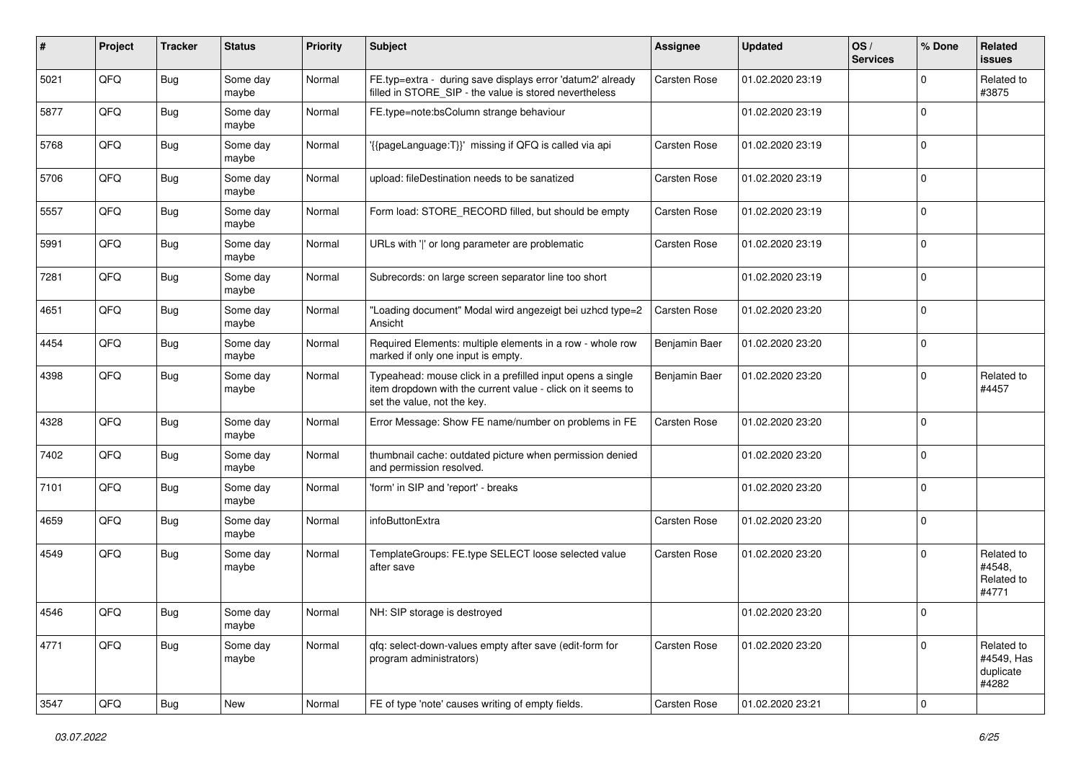| #    | Project | <b>Tracker</b> | <b>Status</b>     | <b>Priority</b> | Subject                                                                                                                                                  | <b>Assignee</b> | <b>Updated</b>   | OS/<br><b>Services</b> | % Done              | Related<br><b>issues</b>                       |
|------|---------|----------------|-------------------|-----------------|----------------------------------------------------------------------------------------------------------------------------------------------------------|-----------------|------------------|------------------------|---------------------|------------------------------------------------|
| 5021 | QFQ     | Bug            | Some day<br>maybe | Normal          | FE.typ=extra - during save displays error 'datum2' already<br>filled in STORE_SIP - the value is stored nevertheless                                     | Carsten Rose    | 01.02.2020 23:19 |                        | $\mathbf 0$         | Related to<br>#3875                            |
| 5877 | QFQ     | Bug            | Some day<br>maybe | Normal          | FE.type=note:bsColumn strange behaviour                                                                                                                  |                 | 01.02.2020 23:19 |                        | $\mathbf 0$         |                                                |
| 5768 | QFQ     | Bug            | Some day<br>maybe | Normal          | '{{pageLanguage:T}}' missing if QFQ is called via api                                                                                                    | Carsten Rose    | 01.02.2020 23:19 |                        | $\mathbf 0$         |                                                |
| 5706 | QFQ     | Bug            | Some day<br>maybe | Normal          | upload: fileDestination needs to be sanatized                                                                                                            | Carsten Rose    | 01.02.2020 23:19 |                        | $\mathbf 0$         |                                                |
| 5557 | QFQ     | <b>Bug</b>     | Some day<br>maybe | Normal          | Form load: STORE_RECORD filled, but should be empty                                                                                                      | Carsten Rose    | 01.02.2020 23:19 |                        | $\mathbf 0$         |                                                |
| 5991 | QFQ     | <b>Bug</b>     | Some day<br>maybe | Normal          | URLs with ' ' or long parameter are problematic                                                                                                          | Carsten Rose    | 01.02.2020 23:19 |                        | $\mathbf 0$         |                                                |
| 7281 | QFQ     | <b>Bug</b>     | Some day<br>maybe | Normal          | Subrecords: on large screen separator line too short                                                                                                     |                 | 01.02.2020 23:19 |                        | $\pmb{0}$           |                                                |
| 4651 | QFQ     | <b>Bug</b>     | Some day<br>maybe | Normal          | "Loading document" Modal wird angezeigt bei uzhcd type=2<br>Ansicht                                                                                      | Carsten Rose    | 01.02.2020 23:20 |                        | $\mathbf 0$         |                                                |
| 4454 | QFQ     | <b>Bug</b>     | Some day<br>maybe | Normal          | Required Elements: multiple elements in a row - whole row<br>marked if only one input is empty.                                                          | Benjamin Baer   | 01.02.2020 23:20 |                        | $\mathbf 0$         |                                                |
| 4398 | QFQ     | <b>Bug</b>     | Some day<br>maybe | Normal          | Typeahead: mouse click in a prefilled input opens a single<br>item dropdown with the current value - click on it seems to<br>set the value, not the key. | Benjamin Baer   | 01.02.2020 23:20 |                        | $\mathbf 0$         | Related to<br>#4457                            |
| 4328 | QFQ     | <b>Bug</b>     | Some day<br>maybe | Normal          | Error Message: Show FE name/number on problems in FE                                                                                                     | Carsten Rose    | 01.02.2020 23:20 |                        | $\mathbf 0$         |                                                |
| 7402 | QFQ     | <b>Bug</b>     | Some day<br>maybe | Normal          | thumbnail cache: outdated picture when permission denied<br>and permission resolved.                                                                     |                 | 01.02.2020 23:20 |                        | $\mathbf 0$         |                                                |
| 7101 | QFQ     | <b>Bug</b>     | Some day<br>maybe | Normal          | 'form' in SIP and 'report' - breaks                                                                                                                      |                 | 01.02.2020 23:20 |                        | $\mathbf 0$         |                                                |
| 4659 | QFQ     | <b>Bug</b>     | Some day<br>maybe | Normal          | infoButtonExtra                                                                                                                                          | Carsten Rose    | 01.02.2020 23:20 |                        | $\mathbf 0$         |                                                |
| 4549 | QFQ     | <b>Bug</b>     | Some day<br>maybe | Normal          | TemplateGroups: FE.type SELECT loose selected value<br>after save                                                                                        | Carsten Rose    | 01.02.2020 23:20 |                        | $\mathbf 0$         | Related to<br>#4548.<br>Related to<br>#4771    |
| 4546 | QFQ     | Bug            | Some day<br>maybe | Normal          | NH: SIP storage is destroyed                                                                                                                             |                 | 01.02.2020 23:20 |                        | 0                   |                                                |
| 4771 | QFQ     | <b>Bug</b>     | Some day<br>maybe | Normal          | gfg: select-down-values empty after save (edit-form for<br>program administrators)                                                                       | Carsten Rose    | 01.02.2020 23:20 |                        | $\mathbf 0$         | Related to<br>#4549, Has<br>duplicate<br>#4282 |
| 3547 | QFQ     | Bug            | New               | Normal          | FE of type 'note' causes writing of empty fields.                                                                                                        | Carsten Rose    | 01.02.2020 23:21 |                        | $\mathsf{O}\xspace$ |                                                |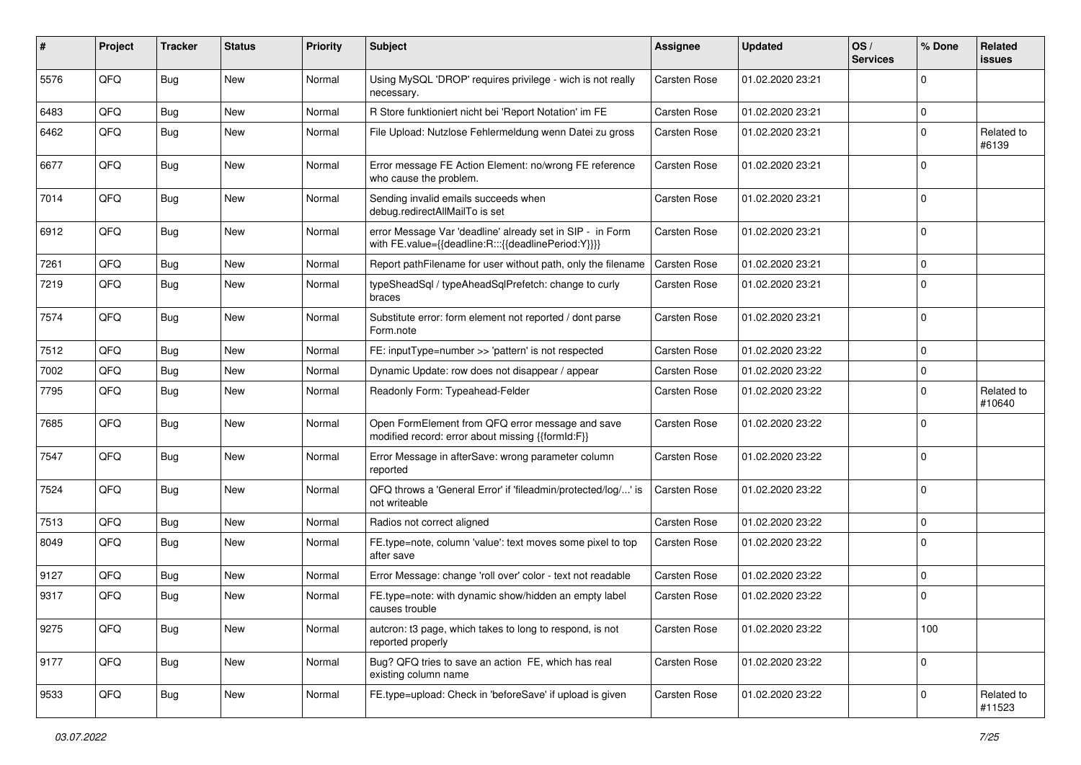| #    | Project | <b>Tracker</b> | <b>Status</b> | <b>Priority</b> | <b>Subject</b>                                                                                                   | Assignee            | <b>Updated</b>   | OS/<br><b>Services</b> | % Done      | Related<br>issues    |
|------|---------|----------------|---------------|-----------------|------------------------------------------------------------------------------------------------------------------|---------------------|------------------|------------------------|-------------|----------------------|
| 5576 | QFQ     | <b>Bug</b>     | <b>New</b>    | Normal          | Using MySQL 'DROP' requires privilege - wich is not really<br>necessary.                                         | Carsten Rose        | 01.02.2020 23:21 |                        | 0           |                      |
| 6483 | QFQ     | <b>Bug</b>     | <b>New</b>    | Normal          | R Store funktioniert nicht bei 'Report Notation' im FE                                                           | Carsten Rose        | 01.02.2020 23:21 |                        | $\mathbf 0$ |                      |
| 6462 | QFQ     | <b>Bug</b>     | New           | Normal          | File Upload: Nutzlose Fehlermeldung wenn Datei zu gross                                                          | Carsten Rose        | 01.02.2020 23:21 |                        | $\Omega$    | Related to<br>#6139  |
| 6677 | QFQ     | <b>Bug</b>     | New           | Normal          | Error message FE Action Element: no/wrong FE reference<br>who cause the problem.                                 | Carsten Rose        | 01.02.2020 23:21 |                        | $\Omega$    |                      |
| 7014 | QFQ     | <b>Bug</b>     | <b>New</b>    | Normal          | Sending invalid emails succeeds when<br>debug.redirectAllMailTo is set                                           | Carsten Rose        | 01.02.2020 23:21 |                        | $\Omega$    |                      |
| 6912 | QFQ     | <b>Bug</b>     | <b>New</b>    | Normal          | error Message Var 'deadline' already set in SIP - in Form<br>with FE.value={{deadline:R:::{{deadlinePeriod:Y}}}} | Carsten Rose        | 01.02.2020 23:21 |                        | $\Omega$    |                      |
| 7261 | QFQ     | <b>Bug</b>     | <b>New</b>    | Normal          | Report pathFilename for user without path, only the filename                                                     | Carsten Rose        | 01.02.2020 23:21 |                        | $\mathbf 0$ |                      |
| 7219 | QFQ     | <b>Bug</b>     | <b>New</b>    | Normal          | typeSheadSql / typeAheadSqlPrefetch: change to curly<br>braces                                                   | Carsten Rose        | 01.02.2020 23:21 |                        | $\Omega$    |                      |
| 7574 | QFQ     | <b>Bug</b>     | New           | Normal          | Substitute error: form element not reported / dont parse<br>Form.note                                            | Carsten Rose        | 01.02.2020 23:21 |                        | $\Omega$    |                      |
| 7512 | QFQ     | <b>Bug</b>     | <b>New</b>    | Normal          | FE: inputType=number >> 'pattern' is not respected                                                               | Carsten Rose        | 01.02.2020 23:22 |                        | $\Omega$    |                      |
| 7002 | QFQ     | Bug            | <b>New</b>    | Normal          | Dynamic Update: row does not disappear / appear                                                                  | <b>Carsten Rose</b> | 01.02.2020 23:22 |                        | $\mathbf 0$ |                      |
| 7795 | QFQ     | <b>Bug</b>     | <b>New</b>    | Normal          | Readonly Form: Typeahead-Felder                                                                                  | Carsten Rose        | 01.02.2020 23:22 |                        | 0           | Related to<br>#10640 |
| 7685 | QFQ     | <b>Bug</b>     | New           | Normal          | Open FormElement from QFQ error message and save<br>modified record: error about missing {{formId:F}}            | Carsten Rose        | 01.02.2020 23:22 |                        | $\Omega$    |                      |
| 7547 | QFQ     | <b>Bug</b>     | New           | Normal          | Error Message in afterSave: wrong parameter column<br>reported                                                   | Carsten Rose        | 01.02.2020 23:22 |                        | $\Omega$    |                      |
| 7524 | QFQ     | <b>Bug</b>     | <b>New</b>    | Normal          | QFQ throws a 'General Error' if 'fileadmin/protected/log/' is<br>not writeable                                   | <b>Carsten Rose</b> | 01.02.2020 23:22 |                        | $\Omega$    |                      |
| 7513 | QFQ     | <b>Bug</b>     | <b>New</b>    | Normal          | Radios not correct aligned                                                                                       | Carsten Rose        | 01.02.2020 23:22 |                        | 0           |                      |
| 8049 | QFQ     | <b>Bug</b>     | <b>New</b>    | Normal          | FE.type=note, column 'value': text moves some pixel to top<br>after save                                         | Carsten Rose        | 01.02.2020 23:22 |                        | $\Omega$    |                      |
| 9127 | QFQ     | <b>Bug</b>     | <b>New</b>    | Normal          | Error Message: change 'roll over' color - text not readable                                                      | Carsten Rose        | 01.02.2020 23:22 |                        | 0           |                      |
| 9317 | QFQ     | <b>Bug</b>     | <b>New</b>    | Normal          | FE.type=note: with dynamic show/hidden an empty label<br>causes trouble                                          | Carsten Rose        | 01.02.2020 23:22 |                        | $\Omega$    |                      |
| 9275 | QFQ     | <b>Bug</b>     | New           | Normal          | auteron: t3 page, which takes to long to respond, is not<br>reported properly                                    | Carsten Rose        | 01.02.2020 23:22 |                        | 100         |                      |
| 9177 | QFQ     | <b>Bug</b>     | New           | Normal          | Bug? QFQ tries to save an action FE, which has real<br>existing column name                                      | Carsten Rose        | 01.02.2020 23:22 |                        | 0           |                      |
| 9533 | QFQ     | <b>Bug</b>     | New           | Normal          | FE.type=upload: Check in 'beforeSave' if upload is given                                                         | Carsten Rose        | 01.02.2020 23:22 |                        | 0           | Related to<br>#11523 |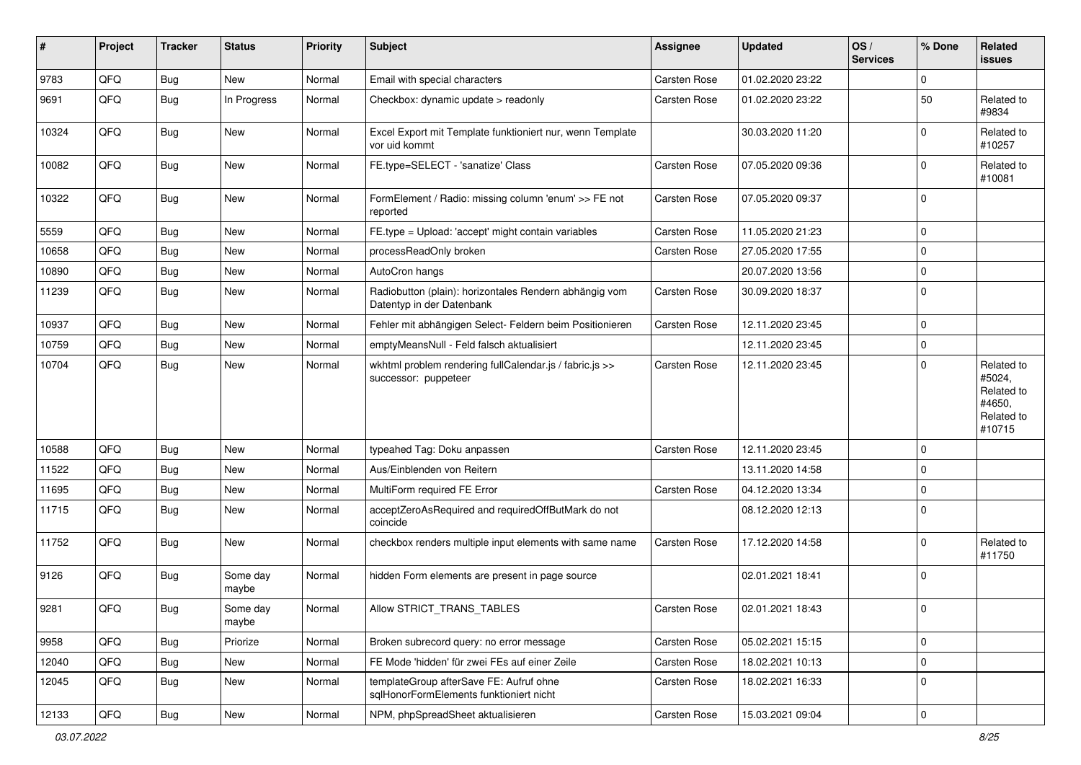| #     | Project        | <b>Tracker</b> | <b>Status</b>     | <b>Priority</b> | <b>Subject</b>                                                                      | <b>Assignee</b>     | <b>Updated</b>   | OS/<br><b>Services</b> | % Done      | Related<br><b>issues</b>                                             |
|-------|----------------|----------------|-------------------|-----------------|-------------------------------------------------------------------------------------|---------------------|------------------|------------------------|-------------|----------------------------------------------------------------------|
| 9783  | QFQ            | Bug            | New               | Normal          | Email with special characters                                                       | Carsten Rose        | 01.02.2020 23:22 |                        | $\Omega$    |                                                                      |
| 9691  | QFQ            | Bug            | In Progress       | Normal          | Checkbox: dynamic update > readonly                                                 | Carsten Rose        | 01.02.2020 23:22 |                        | 50          | Related to<br>#9834                                                  |
| 10324 | QFQ            | <b>Bug</b>     | New               | Normal          | Excel Export mit Template funktioniert nur, wenn Template<br>vor uid kommt          |                     | 30.03.2020 11:20 |                        | $\Omega$    | Related to<br>#10257                                                 |
| 10082 | QFQ            | <b>Bug</b>     | New               | Normal          | FE.type=SELECT - 'sanatize' Class                                                   | Carsten Rose        | 07.05.2020 09:36 |                        | $\Omega$    | Related to<br>#10081                                                 |
| 10322 | QFQ            | <b>Bug</b>     | New               | Normal          | FormElement / Radio: missing column 'enum' >> FE not<br>reported                    | Carsten Rose        | 07.05.2020 09:37 |                        | $\Omega$    |                                                                      |
| 5559  | QFQ            | Bug            | New               | Normal          | FE.type = Upload: 'accept' might contain variables                                  | Carsten Rose        | 11.05.2020 21:23 |                        | $\mathbf 0$ |                                                                      |
| 10658 | QFQ            | Bug            | New               | Normal          | processReadOnly broken                                                              | Carsten Rose        | 27.05.2020 17:55 |                        | $\Omega$    |                                                                      |
| 10890 | QFQ            | <b>Bug</b>     | New               | Normal          | AutoCron hangs                                                                      |                     | 20.07.2020 13:56 |                        | $\Omega$    |                                                                      |
| 11239 | QFQ            | Bug            | New               | Normal          | Radiobutton (plain): horizontales Rendern abhängig vom<br>Datentyp in der Datenbank | Carsten Rose        | 30.09.2020 18:37 |                        | $\Omega$    |                                                                      |
| 10937 | QFQ            | Bug            | <b>New</b>        | Normal          | Fehler mit abhängigen Select- Feldern beim Positionieren                            | Carsten Rose        | 12.11.2020 23:45 |                        | $\mathbf 0$ |                                                                      |
| 10759 | QFQ            | <b>Bug</b>     | New               | Normal          | emptyMeansNull - Feld falsch aktualisiert                                           |                     | 12.11.2020 23:45 |                        | $\mathbf 0$ |                                                                      |
| 10704 | QFQ            | <b>Bug</b>     | New               | Normal          | wkhtml problem rendering fullCalendar.js / fabric.js >><br>successor: puppeteer     | Carsten Rose        | 12.11.2020 23:45 |                        | $\Omega$    | Related to<br>#5024,<br>Related to<br>#4650,<br>Related to<br>#10715 |
| 10588 | QFQ            | <b>Bug</b>     | New               | Normal          | typeahed Tag: Doku anpassen                                                         | <b>Carsten Rose</b> | 12.11.2020 23:45 |                        | $\Omega$    |                                                                      |
| 11522 | QFQ            | Bug            | New               | Normal          | Aus/Einblenden von Reitern                                                          |                     | 13.11.2020 14:58 |                        | 0           |                                                                      |
| 11695 | QFQ            | <b>Bug</b>     | New               | Normal          | MultiForm required FE Error                                                         | Carsten Rose        | 04.12.2020 13:34 |                        | $\Omega$    |                                                                      |
| 11715 | QFQ            | Bug            | New               | Normal          | acceptZeroAsRequired and requiredOffButMark do not<br>coincide                      |                     | 08.12.2020 12:13 |                        | $\Omega$    |                                                                      |
| 11752 | QFQ            | <b>Bug</b>     | New               | Normal          | checkbox renders multiple input elements with same name                             | Carsten Rose        | 17.12.2020 14:58 |                        | $\Omega$    | Related to<br>#11750                                                 |
| 9126  | QFQ            | <b>Bug</b>     | Some day<br>maybe | Normal          | hidden Form elements are present in page source                                     |                     | 02.01.2021 18:41 |                        | $\Omega$    |                                                                      |
| 9281  | $\mathsf{QFQ}$ | Bug            | Some day<br>maybe | Normal          | Allow STRICT_TRANS_TABLES                                                           | Carsten Rose        | 02.01.2021 18:43 |                        | $\Omega$    |                                                                      |
| 9958  | QFQ            | Bug            | Priorize          | Normal          | Broken subrecord query: no error message                                            | Carsten Rose        | 05.02.2021 15:15 |                        | $\mathbf 0$ |                                                                      |
| 12040 | QFQ            | <b>Bug</b>     | New               | Normal          | FE Mode 'hidden' für zwei FEs auf einer Zeile                                       | Carsten Rose        | 18.02.2021 10:13 |                        | 0           |                                                                      |
| 12045 | QFQ            | <b>Bug</b>     | New               | Normal          | templateGroup afterSave FE: Aufruf ohne<br>sqlHonorFormElements funktioniert nicht  | Carsten Rose        | 18.02.2021 16:33 |                        | $\mathbf 0$ |                                                                      |
| 12133 | QFQ            | Bug            | New               | Normal          | NPM, phpSpreadSheet aktualisieren                                                   | Carsten Rose        | 15.03.2021 09:04 |                        | $\mathbf 0$ |                                                                      |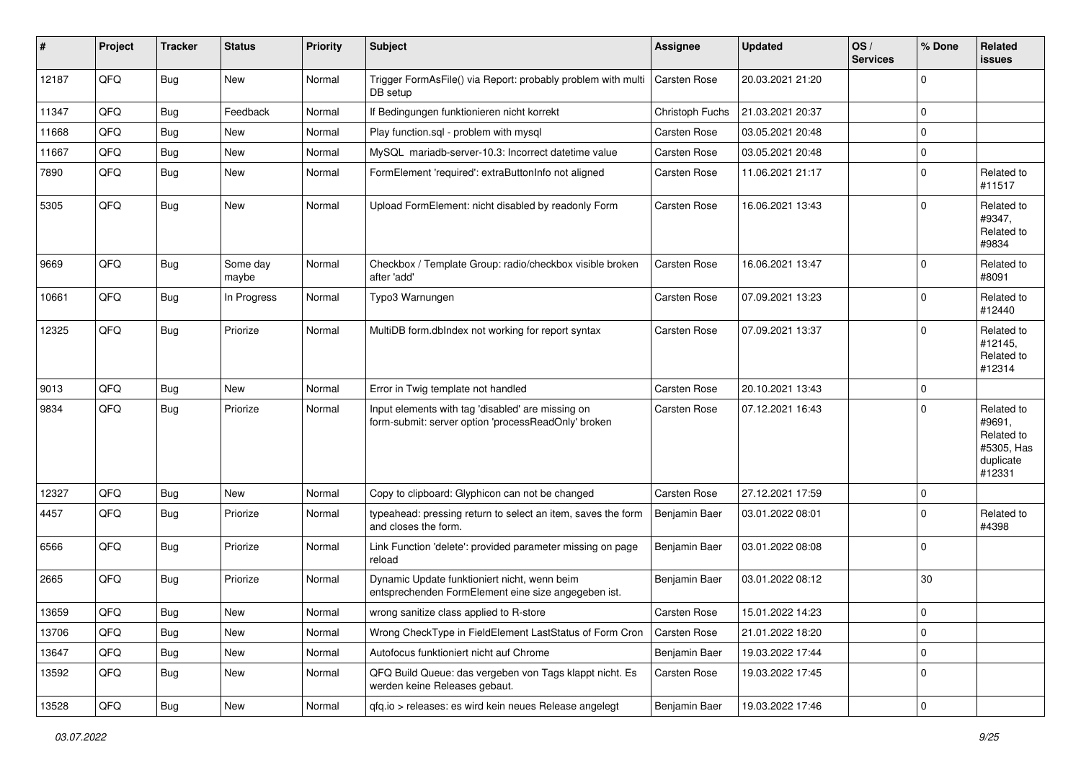| #     | Project | <b>Tracker</b> | <b>Status</b>     | <b>Priority</b> | Subject                                                                                                  | <b>Assignee</b>      | <b>Updated</b>   | OS/<br><b>Services</b> | % Done      | Related<br><b>issues</b>                                                |
|-------|---------|----------------|-------------------|-----------------|----------------------------------------------------------------------------------------------------------|----------------------|------------------|------------------------|-------------|-------------------------------------------------------------------------|
| 12187 | QFQ     | <b>Bug</b>     | New               | Normal          | Trigger FormAsFile() via Report: probably problem with multi<br>DB setup                                 | Carsten Rose         | 20.03.2021 21:20 |                        | $\mathbf 0$ |                                                                         |
| 11347 | QFQ     | <b>Bug</b>     | Feedback          | Normal          | If Bedingungen funktionieren nicht korrekt                                                               | Christoph Fuchs      | 21.03.2021 20:37 |                        | $\mathbf 0$ |                                                                         |
| 11668 | QFQ     | <b>Bug</b>     | New               | Normal          | Play function.sql - problem with mysql                                                                   | Carsten Rose         | 03.05.2021 20:48 |                        | $\mathbf 0$ |                                                                         |
| 11667 | QFQ     | <b>Bug</b>     | New               | Normal          | MySQL mariadb-server-10.3: Incorrect datetime value                                                      | Carsten Rose         | 03.05.2021 20:48 |                        | $\mathbf 0$ |                                                                         |
| 7890  | QFQ     | <b>Bug</b>     | New               | Normal          | FormElement 'required': extraButtonInfo not aligned                                                      | Carsten Rose         | 11.06.2021 21:17 |                        | $\mathbf 0$ | Related to<br>#11517                                                    |
| 5305  | QFQ     | Bug            | New               | Normal          | Upload FormElement: nicht disabled by readonly Form                                                      | Carsten Rose         | 16.06.2021 13:43 |                        | $\mathbf 0$ | Related to<br>#9347,<br>Related to<br>#9834                             |
| 9669  | QFQ     | <b>Bug</b>     | Some day<br>maybe | Normal          | Checkbox / Template Group: radio/checkbox visible broken<br>after 'add'                                  | Carsten Rose         | 16.06.2021 13:47 |                        | $\mathbf 0$ | Related to<br>#8091                                                     |
| 10661 | QFQ     | <b>Bug</b>     | In Progress       | Normal          | Typo3 Warnungen                                                                                          | Carsten Rose         | 07.09.2021 13:23 |                        | $\mathbf 0$ | Related to<br>#12440                                                    |
| 12325 | QFQ     | <b>Bug</b>     | Priorize          | Normal          | MultiDB form.dbIndex not working for report syntax                                                       | Carsten Rose         | 07.09.2021 13:37 |                        | $\mathbf 0$ | Related to<br>#12145,<br>Related to<br>#12314                           |
| 9013  | QFQ     | <b>Bug</b>     | New               | Normal          | Error in Twig template not handled                                                                       | <b>Carsten Rose</b>  | 20.10.2021 13:43 |                        | $\mathbf 0$ |                                                                         |
| 9834  | QFQ     | <b>Bug</b>     | Priorize          | Normal          | Input elements with tag 'disabled' are missing on<br>form-submit: server option 'processReadOnly' broken | Carsten Rose         | 07.12.2021 16:43 |                        | $\Omega$    | Related to<br>#9691,<br>Related to<br>#5305, Has<br>duplicate<br>#12331 |
| 12327 | QFQ     | <b>Bug</b>     | New               | Normal          | Copy to clipboard: Glyphicon can not be changed                                                          | Carsten Rose         | 27.12.2021 17:59 |                        | 0           |                                                                         |
| 4457  | QFQ     | Bug            | Priorize          | Normal          | typeahead: pressing return to select an item, saves the form<br>and closes the form.                     | Benjamin Baer        | 03.01.2022 08:01 |                        | $\mathbf 0$ | Related to<br>#4398                                                     |
| 6566  | QFQ     | <b>Bug</b>     | Priorize          | Normal          | Link Function 'delete': provided parameter missing on page<br>reload                                     | <b>Benjamin Baer</b> | 03.01.2022 08:08 |                        | $\mathbf 0$ |                                                                         |
| 2665  | QFQ     | <b>Bug</b>     | Priorize          | Normal          | Dynamic Update funktioniert nicht, wenn beim<br>entsprechenden FormElement eine size angegeben ist.      | Benjamin Baer        | 03.01.2022 08:12 |                        | 30          |                                                                         |
| 13659 | QFQ     | Bug            | New               | Normal          | wrong sanitize class applied to R-store                                                                  | Carsten Rose         | 15.01.2022 14:23 |                        | $\pmb{0}$   |                                                                         |
| 13706 | QFQ     | Bug            | New               | Normal          | Wrong CheckType in FieldElement LastStatus of Form Cron                                                  | Carsten Rose         | 21.01.2022 18:20 |                        | $\mathbf 0$ |                                                                         |
| 13647 | QFQ     | <b>Bug</b>     | New               | Normal          | Autofocus funktioniert nicht auf Chrome                                                                  | Benjamin Baer        | 19.03.2022 17:44 |                        | $\mathbf 0$ |                                                                         |
| 13592 | QFQ     | <b>Bug</b>     | New               | Normal          | QFQ Build Queue: das vergeben von Tags klappt nicht. Es<br>werden keine Releases gebaut.                 | Carsten Rose         | 19.03.2022 17:45 |                        | 0           |                                                                         |
| 13528 | QFQ     | Bug            | New               | Normal          | qfq.io > releases: es wird kein neues Release angelegt                                                   | Benjamin Baer        | 19.03.2022 17:46 |                        | $\pmb{0}$   |                                                                         |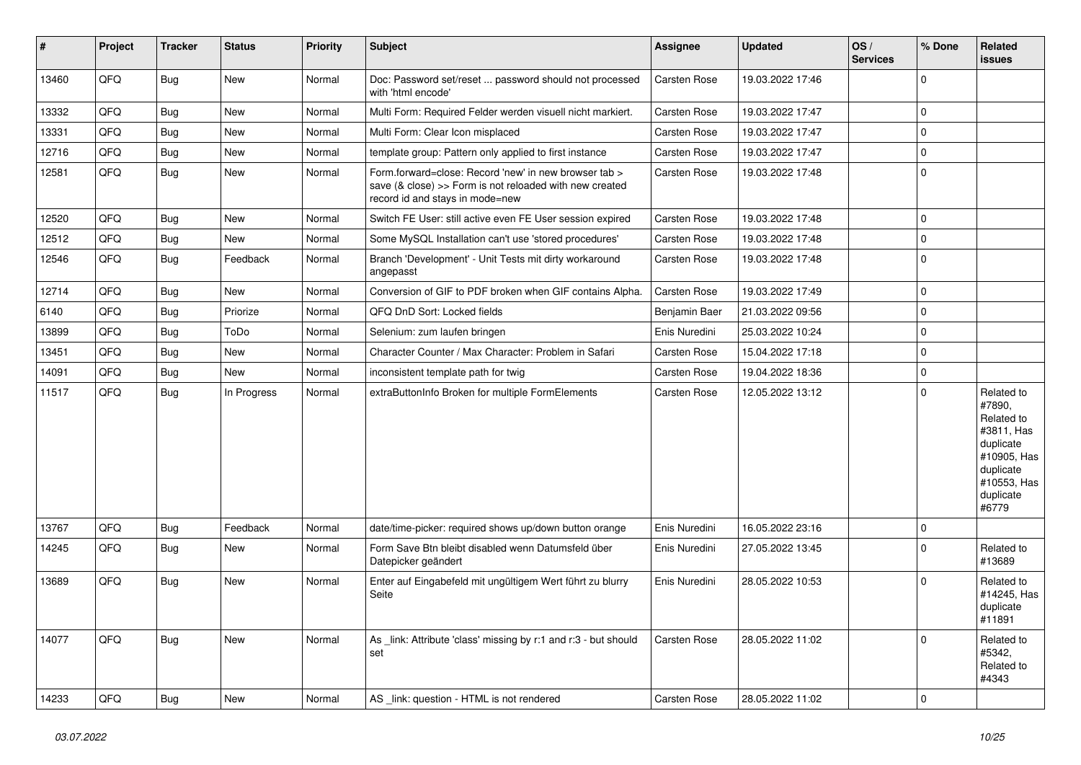| #     | Project | <b>Tracker</b> | <b>Status</b> | <b>Priority</b> | Subject                                                                                                                                             | <b>Assignee</b>     | <b>Updated</b>   | OS/<br><b>Services</b> | % Done      | Related<br><b>issues</b>                                                                                                       |
|-------|---------|----------------|---------------|-----------------|-----------------------------------------------------------------------------------------------------------------------------------------------------|---------------------|------------------|------------------------|-------------|--------------------------------------------------------------------------------------------------------------------------------|
| 13460 | QFQ     | Bug            | New           | Normal          | Doc: Password set/reset  password should not processed<br>with 'html encode'                                                                        | Carsten Rose        | 19.03.2022 17:46 |                        | $\Omega$    |                                                                                                                                |
| 13332 | QFQ     | Bug            | <b>New</b>    | Normal          | Multi Form: Required Felder werden visuell nicht markiert.                                                                                          | Carsten Rose        | 19.03.2022 17:47 |                        | $\mathbf 0$ |                                                                                                                                |
| 13331 | QFQ     | Bug            | <b>New</b>    | Normal          | Multi Form: Clear Icon misplaced                                                                                                                    | Carsten Rose        | 19.03.2022 17:47 |                        | $\mathbf 0$ |                                                                                                                                |
| 12716 | QFQ     | <b>Bug</b>     | New           | Normal          | template group: Pattern only applied to first instance                                                                                              | Carsten Rose        | 19.03.2022 17:47 |                        | $\mathbf 0$ |                                                                                                                                |
| 12581 | QFQ     | Bug            | New           | Normal          | Form.forward=close: Record 'new' in new browser tab ><br>save (& close) >> Form is not reloaded with new created<br>record id and stays in mode=new | <b>Carsten Rose</b> | 19.03.2022 17:48 |                        | 0           |                                                                                                                                |
| 12520 | QFQ     | Bug            | <b>New</b>    | Normal          | Switch FE User: still active even FE User session expired                                                                                           | Carsten Rose        | 19.03.2022 17:48 |                        | $\mathbf 0$ |                                                                                                                                |
| 12512 | QFQ     | Bug            | New           | Normal          | Some MySQL Installation can't use 'stored procedures'                                                                                               | Carsten Rose        | 19.03.2022 17:48 |                        | $\mathbf 0$ |                                                                                                                                |
| 12546 | QFQ     | Bug            | Feedback      | Normal          | Branch 'Development' - Unit Tests mit dirty workaround<br>angepasst                                                                                 | Carsten Rose        | 19.03.2022 17:48 |                        | $\Omega$    |                                                                                                                                |
| 12714 | QFQ     | Bug            | <b>New</b>    | Normal          | Conversion of GIF to PDF broken when GIF contains Alpha.                                                                                            | Carsten Rose        | 19.03.2022 17:49 |                        | $\mathbf 0$ |                                                                                                                                |
| 6140  | QFQ     | Bug            | Priorize      | Normal          | QFQ DnD Sort: Locked fields                                                                                                                         | Benjamin Baer       | 21.03.2022 09:56 |                        | $\mathbf 0$ |                                                                                                                                |
| 13899 | QFQ     | Bug            | ToDo          | Normal          | Selenium: zum laufen bringen                                                                                                                        | Enis Nuredini       | 25.03.2022 10:24 |                        | $\Omega$    |                                                                                                                                |
| 13451 | QFQ     | Bug            | New           | Normal          | Character Counter / Max Character: Problem in Safari                                                                                                | Carsten Rose        | 15.04.2022 17:18 |                        | $\Omega$    |                                                                                                                                |
| 14091 | QFQ     | Bug            | <b>New</b>    | Normal          | inconsistent template path for twig                                                                                                                 | Carsten Rose        | 19.04.2022 18:36 |                        | $\mathbf 0$ |                                                                                                                                |
| 11517 | QFQ     | Bug            | In Progress   | Normal          | extraButtonInfo Broken for multiple FormElements                                                                                                    | Carsten Rose        | 12.05.2022 13:12 |                        | $\Omega$    | Related to<br>#7890,<br>Related to<br>#3811, Has<br>duplicate<br>#10905, Has<br>duplicate<br>#10553, Has<br>duplicate<br>#6779 |
| 13767 | QFQ     | Bug            | Feedback      | Normal          | date/time-picker: required shows up/down button orange                                                                                              | Enis Nuredini       | 16.05.2022 23:16 |                        | $\mathbf 0$ |                                                                                                                                |
| 14245 | QFQ     | Bug            | New           | Normal          | Form Save Btn bleibt disabled wenn Datumsfeld über<br>Datepicker geändert                                                                           | Enis Nuredini       | 27.05.2022 13:45 |                        | $\Omega$    | Related to<br>#13689                                                                                                           |
| 13689 | QFQ     | Bug            | New           | Normal          | Enter auf Eingabefeld mit ungültigem Wert führt zu blurry<br>Seite                                                                                  | Enis Nuredini       | 28.05.2022 10:53 |                        | $\Omega$    | Related to<br>#14245, Has<br>duplicate<br>#11891                                                                               |
| 14077 | QFQ     | Bug            | New           | Normal          | As _link: Attribute 'class' missing by r:1 and r:3 - but should<br>set                                                                              | <b>Carsten Rose</b> | 28.05.2022 11:02 |                        | $\Omega$    | Related to<br>#5342,<br>Related to<br>#4343                                                                                    |
| 14233 | QFQ     | <b>Bug</b>     | New           | Normal          | AS _link: question - HTML is not rendered                                                                                                           | Carsten Rose        | 28.05.2022 11:02 |                        | $\mathbf 0$ |                                                                                                                                |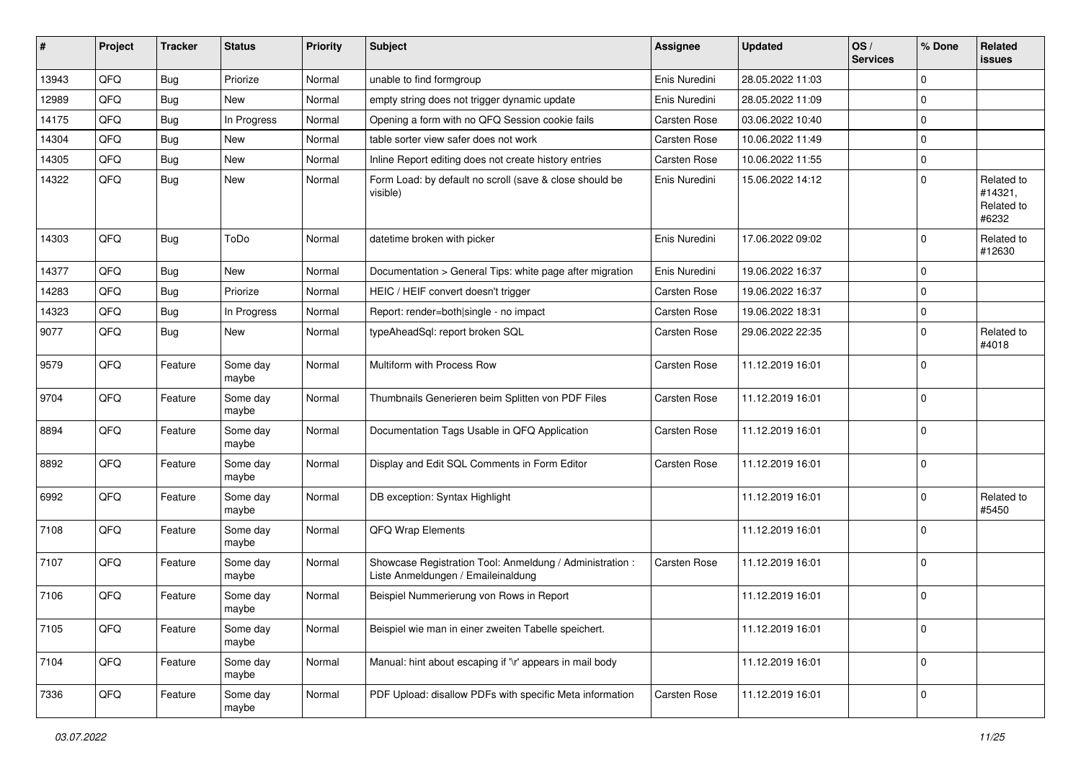| #     | Project | <b>Tracker</b> | <b>Status</b>     | <b>Priority</b> | <b>Subject</b>                                                                                 | <b>Assignee</b> | <b>Updated</b>   | OS/<br><b>Services</b> | % Done      | Related<br>issues                            |
|-------|---------|----------------|-------------------|-----------------|------------------------------------------------------------------------------------------------|-----------------|------------------|------------------------|-------------|----------------------------------------------|
| 13943 | QFQ     | <b>Bug</b>     | Priorize          | Normal          | unable to find formgroup                                                                       | Enis Nuredini   | 28.05.2022 11:03 |                        | $\mathbf 0$ |                                              |
| 12989 | QFQ     | <b>Bug</b>     | <b>New</b>        | Normal          | empty string does not trigger dynamic update                                                   | Enis Nuredini   | 28.05.2022 11:09 |                        | $\mathbf 0$ |                                              |
| 14175 | QFQ     | <b>Bug</b>     | In Progress       | Normal          | Opening a form with no QFQ Session cookie fails                                                | Carsten Rose    | 03.06.2022 10:40 |                        | $\mathbf 0$ |                                              |
| 14304 | QFQ     | <b>Bug</b>     | <b>New</b>        | Normal          | table sorter view safer does not work                                                          | Carsten Rose    | 10.06.2022 11:49 |                        | $\pmb{0}$   |                                              |
| 14305 | QFQ     | Bug            | <b>New</b>        | Normal          | Inline Report editing does not create history entries                                          | Carsten Rose    | 10.06.2022 11:55 |                        | $\mathbf 0$ |                                              |
| 14322 | QFQ     | <b>Bug</b>     | <b>New</b>        | Normal          | Form Load: by default no scroll (save & close should be<br>visible)                            | Enis Nuredini   | 15.06.2022 14:12 |                        | $\Omega$    | Related to<br>#14321,<br>Related to<br>#6232 |
| 14303 | QFQ     | <b>Bug</b>     | ToDo              | Normal          | datetime broken with picker                                                                    | Enis Nuredini   | 17.06.2022 09:02 |                        | $\mathbf 0$ | Related to<br>#12630                         |
| 14377 | QFQ     | <b>Bug</b>     | New               | Normal          | Documentation > General Tips: white page after migration                                       | Enis Nuredini   | 19.06.2022 16:37 |                        | $\mathbf 0$ |                                              |
| 14283 | QFQ     | <b>Bug</b>     | Priorize          | Normal          | HEIC / HEIF convert doesn't trigger                                                            | Carsten Rose    | 19.06.2022 16:37 |                        | $\mathbf 0$ |                                              |
| 14323 | QFQ     | <b>Bug</b>     | In Progress       | Normal          | Report: render=both single - no impact                                                         | Carsten Rose    | 19.06.2022 18:31 |                        | $\pmb{0}$   |                                              |
| 9077  | QFQ     | <b>Bug</b>     | New               | Normal          | typeAheadSql: report broken SQL                                                                | Carsten Rose    | 29.06.2022 22:35 |                        | $\mathbf 0$ | Related to<br>#4018                          |
| 9579  | QFQ     | Feature        | Some day<br>maybe | Normal          | Multiform with Process Row                                                                     | Carsten Rose    | 11.12.2019 16:01 |                        | $\mathbf 0$ |                                              |
| 9704  | QFQ     | Feature        | Some day<br>maybe | Normal          | Thumbnails Generieren beim Splitten von PDF Files                                              | Carsten Rose    | 11.12.2019 16:01 |                        | $\mathbf 0$ |                                              |
| 8894  | QFQ     | Feature        | Some day<br>maybe | Normal          | Documentation Tags Usable in QFQ Application                                                   | Carsten Rose    | 11.12.2019 16:01 |                        | $\mathbf 0$ |                                              |
| 8892  | QFQ     | Feature        | Some day<br>maybe | Normal          | Display and Edit SQL Comments in Form Editor                                                   | Carsten Rose    | 11.12.2019 16:01 |                        | $\mathbf 0$ |                                              |
| 6992  | QFQ     | Feature        | Some day<br>maybe | Normal          | DB exception: Syntax Highlight                                                                 |                 | 11.12.2019 16:01 |                        | $\mathbf 0$ | Related to<br>#5450                          |
| 7108  | QFQ     | Feature        | Some day<br>maybe | Normal          | QFQ Wrap Elements                                                                              |                 | 11.12.2019 16:01 |                        | $\mathbf 0$ |                                              |
| 7107  | QFQ     | Feature        | Some day<br>maybe | Normal          | Showcase Registration Tool: Anmeldung / Administration :<br>Liste Anmeldungen / Emaileinaldung | Carsten Rose    | 11.12.2019 16:01 |                        | $\mathbf 0$ |                                              |
| 7106  | QFQ     | Feature        | Some day<br>maybe | Normal          | Beispiel Nummerierung von Rows in Report                                                       |                 | 11.12.2019 16:01 |                        | $\mathbf 0$ |                                              |
| 7105  | QFQ     | Feature        | Some day<br>maybe | Normal          | Beispiel wie man in einer zweiten Tabelle speichert.                                           |                 | 11.12.2019 16:01 |                        | $\mathbf 0$ |                                              |
| 7104  | QFQ     | Feature        | Some day<br>maybe | Normal          | Manual: hint about escaping if '\r' appears in mail body                                       |                 | 11.12.2019 16:01 |                        | $\mathbf 0$ |                                              |
| 7336  | QFQ     | Feature        | Some day<br>maybe | Normal          | PDF Upload: disallow PDFs with specific Meta information                                       | Carsten Rose    | 11.12.2019 16:01 |                        | 0           |                                              |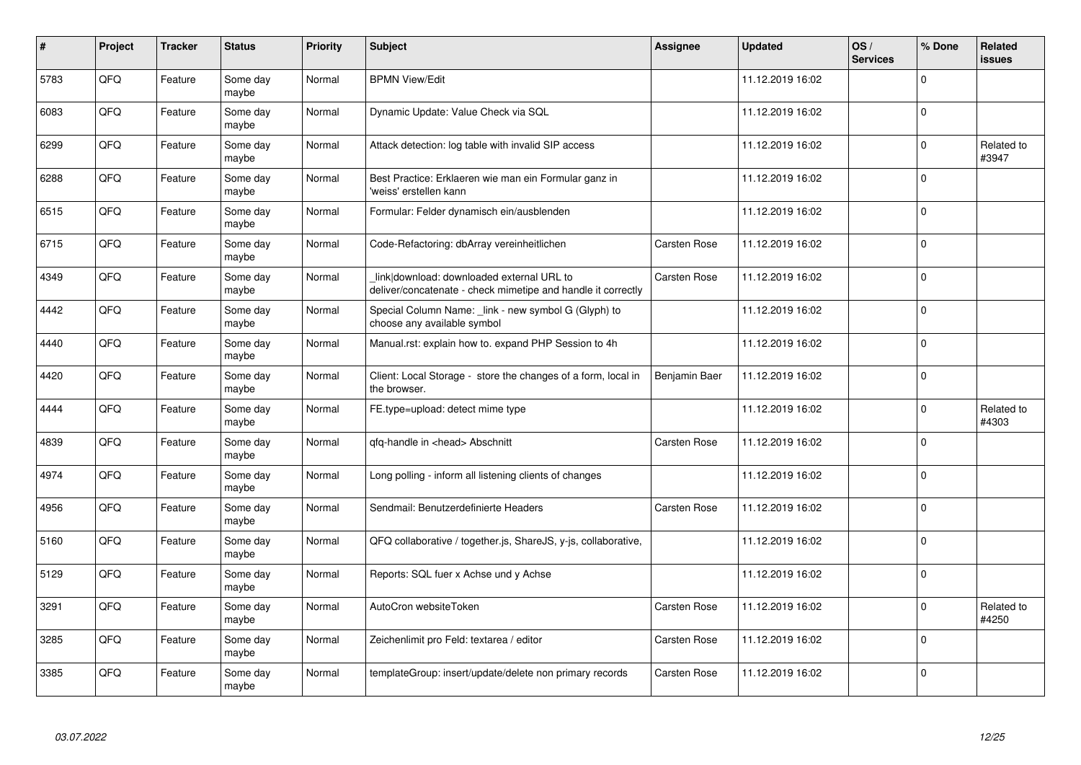| $\pmb{\#}$ | Project | <b>Tracker</b> | <b>Status</b>     | Priority | <b>Subject</b>                                                                                            | Assignee      | <b>Updated</b>   | OS/<br><b>Services</b> | % Done      | Related<br><b>issues</b> |
|------------|---------|----------------|-------------------|----------|-----------------------------------------------------------------------------------------------------------|---------------|------------------|------------------------|-------------|--------------------------|
| 5783       | QFQ     | Feature        | Some day<br>maybe | Normal   | <b>BPMN View/Edit</b>                                                                                     |               | 11.12.2019 16:02 |                        | $\Omega$    |                          |
| 6083       | QFQ     | Feature        | Some day<br>maybe | Normal   | Dynamic Update: Value Check via SQL                                                                       |               | 11.12.2019 16:02 |                        | $\Omega$    |                          |
| 6299       | QFQ     | Feature        | Some day<br>maybe | Normal   | Attack detection: log table with invalid SIP access                                                       |               | 11.12.2019 16:02 |                        | $\Omega$    | Related to<br>#3947      |
| 6288       | QFQ     | Feature        | Some day<br>maybe | Normal   | Best Practice: Erklaeren wie man ein Formular ganz in<br>weiss' erstellen kann                            |               | 11.12.2019 16:02 |                        | $\Omega$    |                          |
| 6515       | QFQ     | Feature        | Some day<br>maybe | Normal   | Formular: Felder dynamisch ein/ausblenden                                                                 |               | 11.12.2019 16:02 |                        | $\mathbf 0$ |                          |
| 6715       | QFQ     | Feature        | Some day<br>maybe | Normal   | Code-Refactoring: dbArray vereinheitlichen                                                                | Carsten Rose  | 11.12.2019 16:02 |                        | $\Omega$    |                          |
| 4349       | QFQ     | Feature        | Some day<br>maybe | Normal   | link download: downloaded external URL to<br>deliver/concatenate - check mimetipe and handle it correctly | Carsten Rose  | 11.12.2019 16:02 |                        | $\Omega$    |                          |
| 4442       | QFQ     | Feature        | Some day<br>maybe | Normal   | Special Column Name: _link - new symbol G (Glyph) to<br>choose any available symbol                       |               | 11.12.2019 16:02 |                        | $\Omega$    |                          |
| 4440       | QFQ     | Feature        | Some day<br>maybe | Normal   | Manual.rst: explain how to. expand PHP Session to 4h                                                      |               | 11.12.2019 16:02 |                        | $\Omega$    |                          |
| 4420       | QFQ     | Feature        | Some day<br>maybe | Normal   | Client: Local Storage - store the changes of a form, local in<br>the browser.                             | Benjamin Baer | 11.12.2019 16:02 |                        | $\Omega$    |                          |
| 4444       | QFQ     | Feature        | Some day<br>maybe | Normal   | FE.type=upload: detect mime type                                                                          |               | 11.12.2019 16:02 |                        | $\Omega$    | Related to<br>#4303      |
| 4839       | QFQ     | Feature        | Some day<br>maybe | Normal   | qfq-handle in <head> Abschnitt</head>                                                                     | Carsten Rose  | 11.12.2019 16:02 |                        | $\mathbf 0$ |                          |
| 4974       | QFQ     | Feature        | Some day<br>maybe | Normal   | Long polling - inform all listening clients of changes                                                    |               | 11.12.2019 16:02 |                        | $\mathbf 0$ |                          |
| 4956       | QFQ     | Feature        | Some day<br>maybe | Normal   | Sendmail: Benutzerdefinierte Headers                                                                      | Carsten Rose  | 11.12.2019 16:02 |                        | $\mathbf 0$ |                          |
| 5160       | QFQ     | Feature        | Some day<br>maybe | Normal   | QFQ collaborative / together.js, ShareJS, y-js, collaborative,                                            |               | 11.12.2019 16:02 |                        | $\Omega$    |                          |
| 5129       | QFQ     | Feature        | Some day<br>maybe | Normal   | Reports: SQL fuer x Achse und y Achse                                                                     |               | 11.12.2019 16:02 |                        | $\Omega$    |                          |
| 3291       | QFQ     | Feature        | Some day<br>maybe | Normal   | AutoCron websiteToken                                                                                     | Carsten Rose  | 11.12.2019 16:02 |                        | $\mathbf 0$ | Related to<br>#4250      |
| 3285       | QFQ     | Feature        | Some day<br>maybe | Normal   | Zeichenlimit pro Feld: textarea / editor                                                                  | Carsten Rose  | 11.12.2019 16:02 |                        | $\Omega$    |                          |
| 3385       | QFQ     | Feature        | Some day<br>maybe | Normal   | templateGroup: insert/update/delete non primary records                                                   | Carsten Rose  | 11.12.2019 16:02 |                        | $\Omega$    |                          |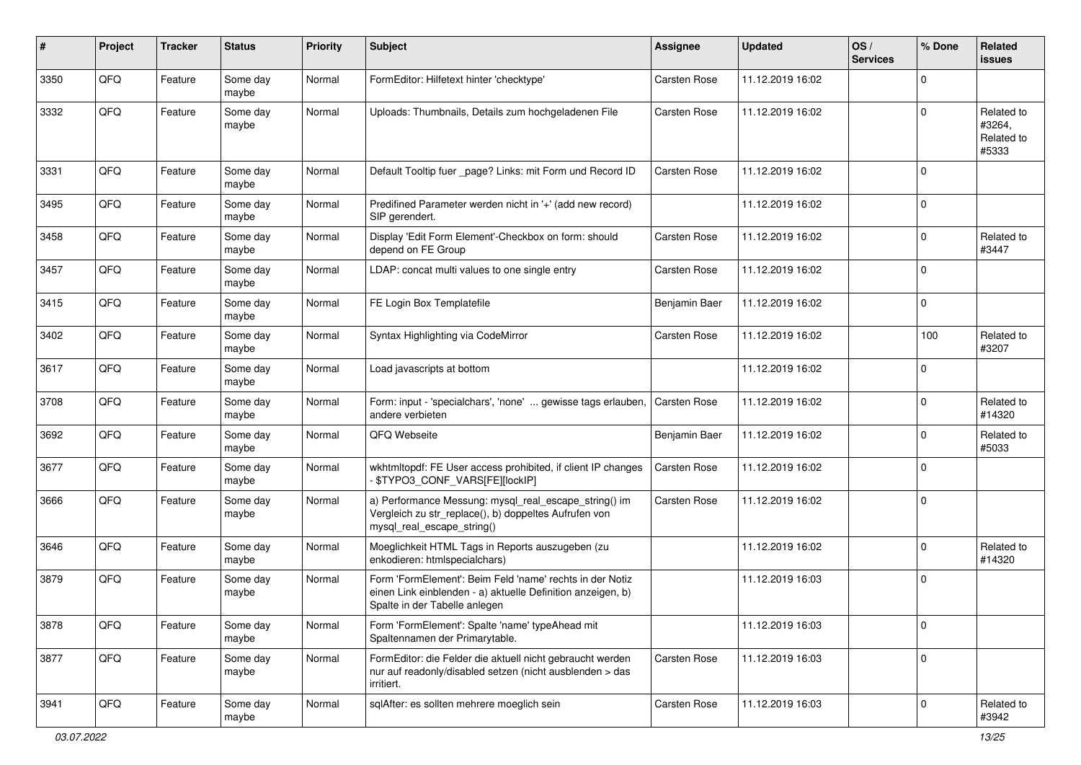| $\sharp$ | Project | <b>Tracker</b> | <b>Status</b>     | <b>Priority</b> | <b>Subject</b>                                                                                                                                           | <b>Assignee</b> | <b>Updated</b>   | OS/<br><b>Services</b> | % Done      | Related<br><b>issues</b>                    |
|----------|---------|----------------|-------------------|-----------------|----------------------------------------------------------------------------------------------------------------------------------------------------------|-----------------|------------------|------------------------|-------------|---------------------------------------------|
| 3350     | QFQ     | Feature        | Some day<br>maybe | Normal          | FormEditor: Hilfetext hinter 'checktype'                                                                                                                 | Carsten Rose    | 11.12.2019 16:02 |                        | $\mathbf 0$ |                                             |
| 3332     | QFQ     | Feature        | Some day<br>maybe | Normal          | Uploads: Thumbnails, Details zum hochgeladenen File                                                                                                      | Carsten Rose    | 11.12.2019 16:02 |                        | $\mathbf 0$ | Related to<br>#3264,<br>Related to<br>#5333 |
| 3331     | QFQ     | Feature        | Some day<br>maybe | Normal          | Default Tooltip fuer _page? Links: mit Form und Record ID                                                                                                | Carsten Rose    | 11.12.2019 16:02 |                        | $\mathbf 0$ |                                             |
| 3495     | QFQ     | Feature        | Some day<br>maybe | Normal          | Predifined Parameter werden nicht in '+' (add new record)<br>SIP gerendert.                                                                              |                 | 11.12.2019 16:02 |                        | $\mathbf 0$ |                                             |
| 3458     | QFQ     | Feature        | Some day<br>maybe | Normal          | Display 'Edit Form Element'-Checkbox on form: should<br>depend on FE Group                                                                               | Carsten Rose    | 11.12.2019 16:02 |                        | $\mathbf 0$ | Related to<br>#3447                         |
| 3457     | QFQ     | Feature        | Some day<br>maybe | Normal          | LDAP: concat multi values to one single entry                                                                                                            | Carsten Rose    | 11.12.2019 16:02 |                        | $\mathbf 0$ |                                             |
| 3415     | QFQ     | Feature        | Some day<br>maybe | Normal          | FE Login Box Templatefile                                                                                                                                | Benjamin Baer   | 11.12.2019 16:02 |                        | $\mathbf 0$ |                                             |
| 3402     | QFQ     | Feature        | Some day<br>maybe | Normal          | Syntax Highlighting via CodeMirror                                                                                                                       | Carsten Rose    | 11.12.2019 16:02 |                        | 100         | Related to<br>#3207                         |
| 3617     | QFQ     | Feature        | Some day<br>maybe | Normal          | Load javascripts at bottom                                                                                                                               |                 | 11.12.2019 16:02 |                        | $\mathbf 0$ |                                             |
| 3708     | QFQ     | Feature        | Some day<br>maybe | Normal          | Form: input - 'specialchars', 'none'  gewisse tags erlauben,<br>andere verbieten                                                                         | Carsten Rose    | 11.12.2019 16:02 |                        | $\mathbf 0$ | Related to<br>#14320                        |
| 3692     | QFQ     | Feature        | Some day<br>maybe | Normal          | QFQ Webseite                                                                                                                                             | Benjamin Baer   | 11.12.2019 16:02 |                        | 0           | Related to<br>#5033                         |
| 3677     | QFQ     | Feature        | Some day<br>maybe | Normal          | wkhtmltopdf: FE User access prohibited, if client IP changes<br>- \$TYPO3_CONF_VARS[FE][lockIP]                                                          | Carsten Rose    | 11.12.2019 16:02 |                        | $\mathbf 0$ |                                             |
| 3666     | QFQ     | Feature        | Some day<br>maybe | Normal          | a) Performance Messung: mysql_real_escape_string() im<br>Vergleich zu str_replace(), b) doppeltes Aufrufen von<br>mysql_real_escape_string()             | Carsten Rose    | 11.12.2019 16:02 |                        | $\mathbf 0$ |                                             |
| 3646     | QFQ     | Feature        | Some day<br>maybe | Normal          | Moeglichkeit HTML Tags in Reports auszugeben (zu<br>enkodieren: htmlspecialchars)                                                                        |                 | 11.12.2019 16:02 |                        | $\mathbf 0$ | Related to<br>#14320                        |
| 3879     | QFQ     | Feature        | Some day<br>maybe | Normal          | Form 'FormElement': Beim Feld 'name' rechts in der Notiz<br>einen Link einblenden - a) aktuelle Definition anzeigen, b)<br>Spalte in der Tabelle anlegen |                 | 11.12.2019 16:03 |                        | $\mathbf 0$ |                                             |
| 3878     | QFQ     | Feature        | Some day<br>maybe | Normal          | Form 'FormElement': Spalte 'name' typeAhead mit<br>Spaltennamen der Primarytable.                                                                        |                 | 11.12.2019 16:03 |                        | $\mathsf 0$ |                                             |
| 3877     | QFO     | Feature        | Some day<br>maybe | Normal          | FormEditor: die Felder die aktuell nicht gebraucht werden<br>nur auf readonly/disabled setzen (nicht ausblenden > das<br>irritiert.                      | Carsten Rose    | 11.12.2019 16:03 |                        | $\pmb{0}$   |                                             |
| 3941     | QFG     | Feature        | Some day<br>maybe | Normal          | sqlAfter: es sollten mehrere moeglich sein                                                                                                               | Carsten Rose    | 11.12.2019 16:03 |                        | $\mathbf 0$ | Related to<br>#3942                         |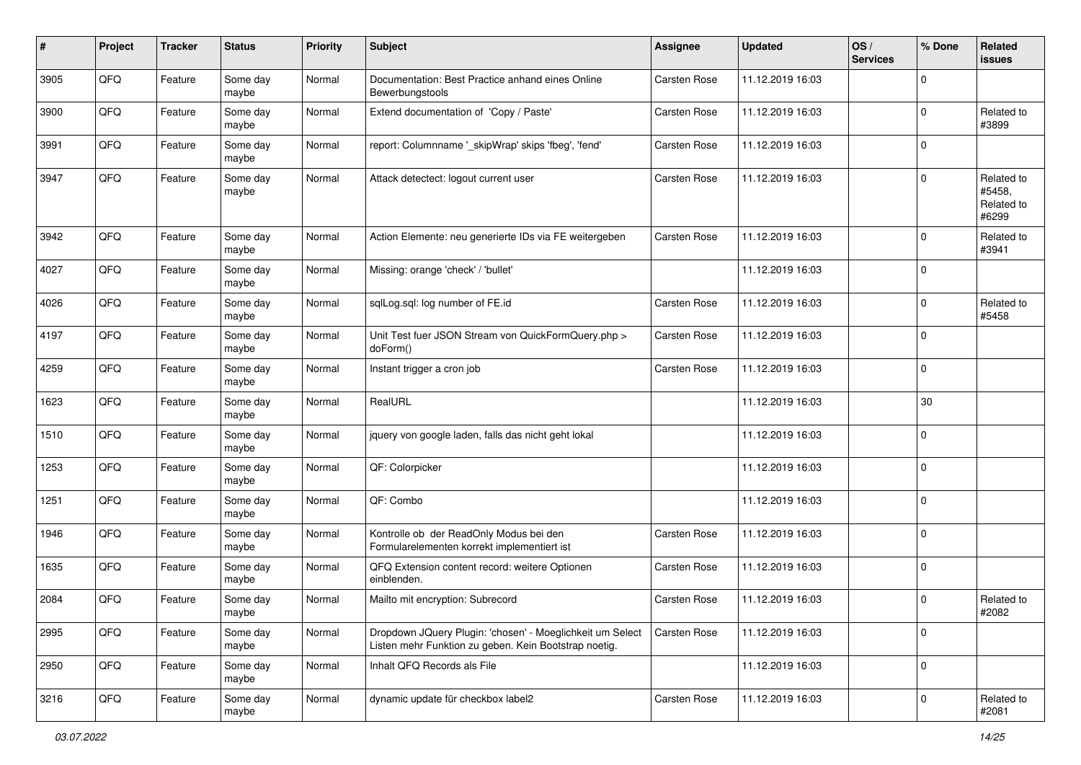| #    | Project | <b>Tracker</b> | <b>Status</b>     | <b>Priority</b> | <b>Subject</b>                                                                                                     | <b>Assignee</b> | <b>Updated</b>   | OS/<br><b>Services</b> | % Done      | Related<br><b>issues</b>                    |
|------|---------|----------------|-------------------|-----------------|--------------------------------------------------------------------------------------------------------------------|-----------------|------------------|------------------------|-------------|---------------------------------------------|
| 3905 | QFQ     | Feature        | Some day<br>maybe | Normal          | Documentation: Best Practice anhand eines Online<br>Bewerbungstools                                                | Carsten Rose    | 11.12.2019 16:03 |                        | $\mathbf 0$ |                                             |
| 3900 | QFQ     | Feature        | Some day<br>maybe | Normal          | Extend documentation of 'Copy / Paste'                                                                             | Carsten Rose    | 11.12.2019 16:03 |                        | $\mathbf 0$ | Related to<br>#3899                         |
| 3991 | QFQ     | Feature        | Some day<br>maybe | Normal          | report: Columnname '_skipWrap' skips 'fbeg', 'fend'                                                                | Carsten Rose    | 11.12.2019 16:03 |                        | $\mathbf 0$ |                                             |
| 3947 | QFQ     | Feature        | Some day<br>maybe | Normal          | Attack detectect: logout current user                                                                              | Carsten Rose    | 11.12.2019 16:03 |                        | $\mathbf 0$ | Related to<br>#5458,<br>Related to<br>#6299 |
| 3942 | QFQ     | Feature        | Some day<br>maybe | Normal          | Action Elemente: neu generierte IDs via FE weitergeben                                                             | Carsten Rose    | 11.12.2019 16:03 |                        | $\mathbf 0$ | Related to<br>#3941                         |
| 4027 | QFQ     | Feature        | Some day<br>maybe | Normal          | Missing: orange 'check' / 'bullet'                                                                                 |                 | 11.12.2019 16:03 |                        | $\mathbf 0$ |                                             |
| 4026 | QFQ     | Feature        | Some day<br>maybe | Normal          | sqlLog.sql: log number of FE.id                                                                                    | Carsten Rose    | 11.12.2019 16:03 |                        | $\mathbf 0$ | Related to<br>#5458                         |
| 4197 | QFQ     | Feature        | Some day<br>maybe | Normal          | Unit Test fuer JSON Stream von QuickFormQuery.php ><br>doForm()                                                    | Carsten Rose    | 11.12.2019 16:03 |                        | $\mathbf 0$ |                                             |
| 4259 | QFQ     | Feature        | Some day<br>maybe | Normal          | Instant trigger a cron job                                                                                         | Carsten Rose    | 11.12.2019 16:03 |                        | $\mathbf 0$ |                                             |
| 1623 | QFQ     | Feature        | Some day<br>maybe | Normal          | RealURL                                                                                                            |                 | 11.12.2019 16:03 |                        | 30          |                                             |
| 1510 | QFQ     | Feature        | Some day<br>maybe | Normal          | jquery von google laden, falls das nicht geht lokal                                                                |                 | 11.12.2019 16:03 |                        | $\pmb{0}$   |                                             |
| 1253 | QFQ     | Feature        | Some day<br>maybe | Normal          | QF: Colorpicker                                                                                                    |                 | 11.12.2019 16:03 |                        | $\mathbf 0$ |                                             |
| 1251 | QFQ     | Feature        | Some day<br>maybe | Normal          | QF: Combo                                                                                                          |                 | 11.12.2019 16:03 |                        | $\mathbf 0$ |                                             |
| 1946 | QFQ     | Feature        | Some day<br>maybe | Normal          | Kontrolle ob der ReadOnly Modus bei den<br>Formularelementen korrekt implementiert ist                             | Carsten Rose    | 11.12.2019 16:03 |                        | $\mathbf 0$ |                                             |
| 1635 | QFQ     | Feature        | Some day<br>maybe | Normal          | QFQ Extension content record: weitere Optionen<br>einblenden.                                                      | Carsten Rose    | 11.12.2019 16:03 |                        | $\mathbf 0$ |                                             |
| 2084 | QFQ     | Feature        | Some day<br>maybe | Normal          | Mailto mit encryption: Subrecord                                                                                   | Carsten Rose    | 11.12.2019 16:03 |                        | $\mathbf 0$ | Related to<br>#2082                         |
| 2995 | QFQ     | Feature        | Some day<br>maybe | Normal          | Dropdown JQuery Plugin: 'chosen' - Moeglichkeit um Select<br>Listen mehr Funktion zu geben. Kein Bootstrap noetig. | Carsten Rose    | 11.12.2019 16:03 |                        | $\mathbf 0$ |                                             |
| 2950 | QFQ     | Feature        | Some day<br>maybe | Normal          | Inhalt QFQ Records als File                                                                                        |                 | 11.12.2019 16:03 |                        | $\mathbf 0$ |                                             |
| 3216 | QFQ     | Feature        | Some day<br>maybe | Normal          | dynamic update für checkbox label2                                                                                 | Carsten Rose    | 11.12.2019 16:03 |                        | $\mathbf 0$ | Related to<br>#2081                         |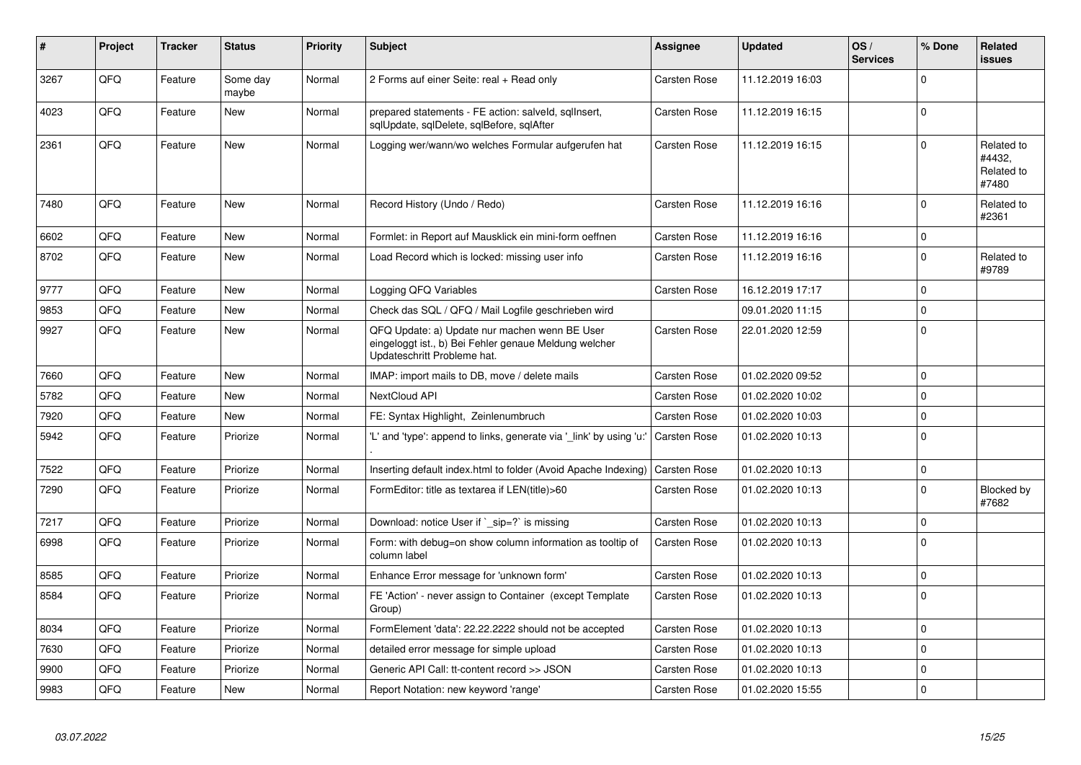| #    | Project | <b>Tracker</b> | <b>Status</b>     | <b>Priority</b> | <b>Subject</b>                                                                                                                        | Assignee            | <b>Updated</b>   | OS/<br><b>Services</b> | % Done      | Related<br>issues                           |
|------|---------|----------------|-------------------|-----------------|---------------------------------------------------------------------------------------------------------------------------------------|---------------------|------------------|------------------------|-------------|---------------------------------------------|
| 3267 | QFQ     | Feature        | Some day<br>maybe | Normal          | 2 Forms auf einer Seite: real + Read only                                                                                             | Carsten Rose        | 11.12.2019 16:03 |                        | $\Omega$    |                                             |
| 4023 | QFQ     | Feature        | <b>New</b>        | Normal          | prepared statements - FE action: salveld, sqlInsert,<br>sglUpdate, sglDelete, sglBefore, sglAfter                                     | Carsten Rose        | 11.12.2019 16:15 |                        | $\Omega$    |                                             |
| 2361 | QFQ     | Feature        | New               | Normal          | Logging wer/wann/wo welches Formular aufgerufen hat                                                                                   | Carsten Rose        | 11.12.2019 16:15 |                        | $\Omega$    | Related to<br>#4432.<br>Related to<br>#7480 |
| 7480 | QFQ     | Feature        | <b>New</b>        | Normal          | Record History (Undo / Redo)                                                                                                          | <b>Carsten Rose</b> | 11.12.2019 16:16 |                        | $\Omega$    | Related to<br>#2361                         |
| 6602 | QFQ     | Feature        | <b>New</b>        | Normal          | Formlet: in Report auf Mausklick ein mini-form oeffnen                                                                                | Carsten Rose        | 11.12.2019 16:16 |                        | $\Omega$    |                                             |
| 8702 | QFQ     | Feature        | New               | Normal          | Load Record which is locked: missing user info                                                                                        | Carsten Rose        | 11.12.2019 16:16 |                        | $\Omega$    | Related to<br>#9789                         |
| 9777 | QFQ     | Feature        | <b>New</b>        | Normal          | Logging QFQ Variables                                                                                                                 | Carsten Rose        | 16.12.2019 17:17 |                        | $\Omega$    |                                             |
| 9853 | QFQ     | Feature        | <b>New</b>        | Normal          | Check das SQL / QFQ / Mail Logfile geschrieben wird                                                                                   |                     | 09.01.2020 11:15 |                        | $\Omega$    |                                             |
| 9927 | QFQ     | Feature        | New               | Normal          | QFQ Update: a) Update nur machen wenn BE User<br>eingeloggt ist., b) Bei Fehler genaue Meldung welcher<br>Updateschritt Probleme hat. | Carsten Rose        | 22.01.2020 12:59 |                        | $\Omega$    |                                             |
| 7660 | QFQ     | Feature        | <b>New</b>        | Normal          | IMAP: import mails to DB, move / delete mails                                                                                         | <b>Carsten Rose</b> | 01.02.2020 09:52 |                        | $\Omega$    |                                             |
| 5782 | QFQ     | Feature        | <b>New</b>        | Normal          | NextCloud API                                                                                                                         | Carsten Rose        | 01.02.2020 10:02 |                        | $\Omega$    |                                             |
| 7920 | QFQ     | Feature        | <b>New</b>        | Normal          | FE: Syntax Highlight, Zeinlenumbruch                                                                                                  | Carsten Rose        | 01.02.2020 10:03 |                        | $\Omega$    |                                             |
| 5942 | QFQ     | Feature        | Priorize          | Normal          | 'L' and 'type': append to links, generate via '_link' by using 'u:'                                                                   | Carsten Rose        | 01.02.2020 10:13 |                        | $\Omega$    |                                             |
| 7522 | QFQ     | Feature        | Priorize          | Normal          | Inserting default index.html to folder (Avoid Apache Indexing)                                                                        | <b>Carsten Rose</b> | 01.02.2020 10:13 |                        | $\mathbf 0$ |                                             |
| 7290 | QFQ     | Feature        | Priorize          | Normal          | FormEditor: title as textarea if LEN(title)>60                                                                                        | Carsten Rose        | 01.02.2020 10:13 |                        | $\Omega$    | Blocked by<br>#7682                         |
| 7217 | QFQ     | Feature        | Priorize          | Normal          | Download: notice User if `_sip=?` is missing                                                                                          | <b>Carsten Rose</b> | 01.02.2020 10:13 |                        | $\Omega$    |                                             |
| 6998 | QFQ     | Feature        | Priorize          | Normal          | Form: with debug=on show column information as tooltip of<br>column label                                                             | Carsten Rose        | 01.02.2020 10:13 |                        | $\Omega$    |                                             |
| 8585 | QFQ     | Feature        | Priorize          | Normal          | Enhance Error message for 'unknown form'                                                                                              | Carsten Rose        | 01.02.2020 10:13 |                        | $\mathbf 0$ |                                             |
| 8584 | QFQ     | Feature        | Priorize          | Normal          | FE 'Action' - never assign to Container (except Template<br>Group)                                                                    | Carsten Rose        | 01.02.2020 10:13 |                        | $\Omega$    |                                             |
| 8034 | QFQ     | Feature        | Priorize          | Normal          | FormElement 'data': 22.22.2222 should not be accepted                                                                                 | Carsten Rose        | 01.02.2020 10:13 |                        | $\Omega$    |                                             |
| 7630 | QFQ     | Feature        | Priorize          | Normal          | detailed error message for simple upload                                                                                              | Carsten Rose        | 01.02.2020 10:13 |                        | $\mathbf 0$ |                                             |
| 9900 | QFQ     | Feature        | Priorize          | Normal          | Generic API Call: tt-content record >> JSON                                                                                           | Carsten Rose        | 01.02.2020 10:13 |                        | $\Omega$    |                                             |
| 9983 | QFQ     | Feature        | <b>New</b>        | Normal          | Report Notation: new keyword 'range'                                                                                                  | Carsten Rose        | 01.02.2020 15:55 |                        | $\Omega$    |                                             |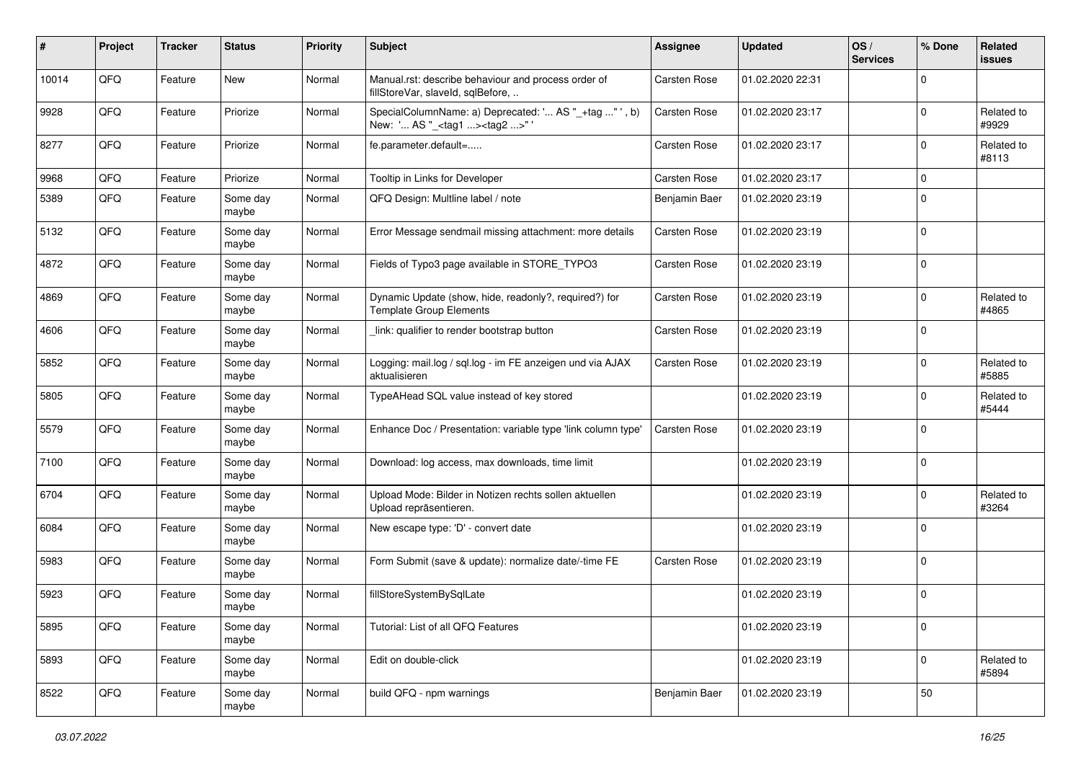| $\pmb{\#}$ | Project | <b>Tracker</b> | <b>Status</b>     | <b>Priority</b> | Subject                                                                                            | <b>Assignee</b>     | <b>Updated</b>   | OS/<br><b>Services</b> | % Done      | Related<br>issues   |
|------------|---------|----------------|-------------------|-----------------|----------------------------------------------------------------------------------------------------|---------------------|------------------|------------------------|-------------|---------------------|
| 10014      | QFQ     | Feature        | New               | Normal          | Manual.rst: describe behaviour and process order of<br>fillStoreVar, slaveId, sqlBefore,           | <b>Carsten Rose</b> | 01.02.2020 22:31 |                        | $\Omega$    |                     |
| 9928       | QFQ     | Feature        | Priorize          | Normal          | SpecialColumnName: a) Deprecated: ' AS "_+tag " ', b)<br>New: ' AS "_ <tag1><tag2>"'</tag2></tag1> | Carsten Rose        | 01.02.2020 23:17 |                        | $\Omega$    | Related to<br>#9929 |
| 8277       | QFQ     | Feature        | Priorize          | Normal          | fe.parameter.default=                                                                              | Carsten Rose        | 01.02.2020 23:17 |                        | $\Omega$    | Related to<br>#8113 |
| 9968       | QFQ     | Feature        | Priorize          | Normal          | Tooltip in Links for Developer                                                                     | Carsten Rose        | 01.02.2020 23:17 |                        | $\mathbf 0$ |                     |
| 5389       | QFQ     | Feature        | Some day<br>maybe | Normal          | QFQ Design: Multline label / note                                                                  | Benjamin Baer       | 01.02.2020 23:19 |                        | $\Omega$    |                     |
| 5132       | QFQ     | Feature        | Some day<br>maybe | Normal          | Error Message sendmail missing attachment: more details                                            | Carsten Rose        | 01.02.2020 23:19 |                        | l 0         |                     |
| 4872       | QFQ     | Feature        | Some day<br>maybe | Normal          | Fields of Typo3 page available in STORE_TYPO3                                                      | Carsten Rose        | 01.02.2020 23:19 |                        | l 0         |                     |
| 4869       | QFQ     | Feature        | Some day<br>maybe | Normal          | Dynamic Update (show, hide, readonly?, required?) for<br><b>Template Group Elements</b>            | Carsten Rose        | 01.02.2020 23:19 |                        | $\mathbf 0$ | Related to<br>#4865 |
| 4606       | QFQ     | Feature        | Some day<br>maybe | Normal          | link: qualifier to render bootstrap button                                                         | Carsten Rose        | 01.02.2020 23:19 |                        | $\Omega$    |                     |
| 5852       | QFQ     | Feature        | Some day<br>maybe | Normal          | Logging: mail.log / sql.log - im FE anzeigen und via AJAX<br>aktualisieren                         | Carsten Rose        | 01.02.2020 23:19 |                        | $\mathbf 0$ | Related to<br>#5885 |
| 5805       | QFQ     | Feature        | Some day<br>maybe | Normal          | TypeAHead SQL value instead of key stored                                                          |                     | 01.02.2020 23:19 |                        | $\Omega$    | Related to<br>#5444 |
| 5579       | QFQ     | Feature        | Some day<br>maybe | Normal          | Enhance Doc / Presentation: variable type 'link column type'                                       | Carsten Rose        | 01.02.2020 23:19 |                        | $\Omega$    |                     |
| 7100       | QFQ     | Feature        | Some day<br>maybe | Normal          | Download: log access, max downloads, time limit                                                    |                     | 01.02.2020 23:19 |                        | l 0         |                     |
| 6704       | QFQ     | Feature        | Some day<br>maybe | Normal          | Upload Mode: Bilder in Notizen rechts sollen aktuellen<br>Upload repräsentieren.                   |                     | 01.02.2020 23:19 |                        | $\mathbf 0$ | Related to<br>#3264 |
| 6084       | QFQ     | Feature        | Some day<br>maybe | Normal          | New escape type: 'D' - convert date                                                                |                     | 01.02.2020 23:19 |                        | $\mathbf 0$ |                     |
| 5983       | QFQ     | Feature        | Some day<br>maybe | Normal          | Form Submit (save & update): normalize date/-time FE                                               | Carsten Rose        | 01.02.2020 23:19 |                        | $\Omega$    |                     |
| 5923       | QFQ     | Feature        | Some day<br>maybe | Normal          | fillStoreSystemBySqlLate                                                                           |                     | 01.02.2020 23:19 |                        | $\mathbf 0$ |                     |
| 5895       | QFQ     | Feature        | Some day<br>maybe | Normal          | Tutorial: List of all QFQ Features                                                                 |                     | 01.02.2020 23:19 |                        | $\mathbf 0$ |                     |
| 5893       | QFQ     | Feature        | Some day<br>maybe | Normal          | Edit on double-click                                                                               |                     | 01.02.2020 23:19 |                        | $\mathbf 0$ | Related to<br>#5894 |
| 8522       | QFQ     | Feature        | Some day<br>maybe | Normal          | build QFQ - npm warnings                                                                           | Benjamin Baer       | 01.02.2020 23:19 |                        | 50          |                     |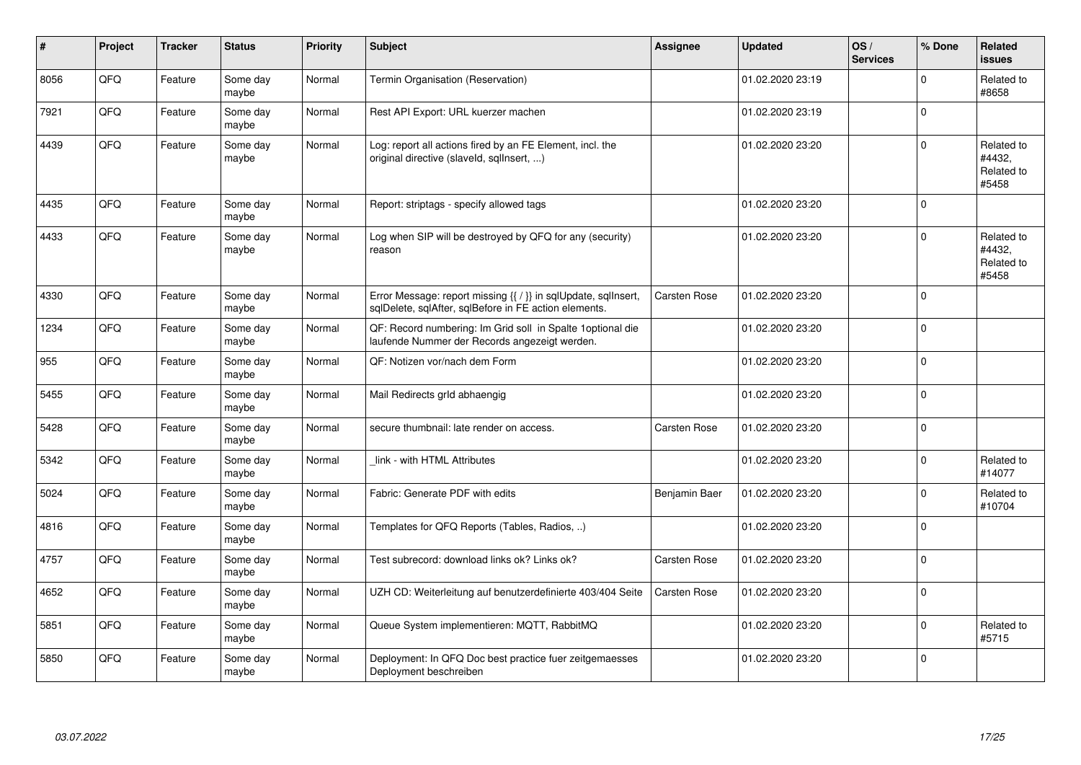| #    | Project | <b>Tracker</b> | <b>Status</b>     | <b>Priority</b> | <b>Subject</b>                                                                                                          | Assignee      | <b>Updated</b>   | OS/<br><b>Services</b> | % Done      | Related<br>issues                           |
|------|---------|----------------|-------------------|-----------------|-------------------------------------------------------------------------------------------------------------------------|---------------|------------------|------------------------|-------------|---------------------------------------------|
| 8056 | QFQ     | Feature        | Some day<br>maybe | Normal          | Termin Organisation (Reservation)                                                                                       |               | 01.02.2020 23:19 |                        | $\Omega$    | Related to<br>#8658                         |
| 7921 | QFQ     | Feature        | Some day<br>maybe | Normal          | Rest API Export: URL kuerzer machen                                                                                     |               | 01.02.2020 23:19 |                        | $\Omega$    |                                             |
| 4439 | QFQ     | Feature        | Some day<br>maybe | Normal          | Log: report all actions fired by an FE Element, incl. the<br>original directive (slaveld, sqlInsert, )                  |               | 01.02.2020 23:20 |                        | $\Omega$    | Related to<br>#4432.<br>Related to<br>#5458 |
| 4435 | QFQ     | Feature        | Some day<br>maybe | Normal          | Report: striptags - specify allowed tags                                                                                |               | 01.02.2020 23:20 |                        | $\Omega$    |                                             |
| 4433 | QFQ     | Feature        | Some day<br>maybe | Normal          | Log when SIP will be destroyed by QFQ for any (security)<br>reason                                                      |               | 01.02.2020 23:20 |                        | $\Omega$    | Related to<br>#4432.<br>Related to<br>#5458 |
| 4330 | QFQ     | Feature        | Some day<br>maybe | Normal          | Error Message: report missing {{ / }} in sqlUpdate, sqlInsert,<br>sglDelete, sglAfter, sglBefore in FE action elements. | Carsten Rose  | 01.02.2020 23:20 |                        | $\Omega$    |                                             |
| 1234 | QFQ     | Feature        | Some day<br>maybe | Normal          | QF: Record numbering: Im Grid soll in Spalte 1 optional die<br>laufende Nummer der Records angezeigt werden.            |               | 01.02.2020 23:20 |                        | $\Omega$    |                                             |
| 955  | QFQ     | Feature        | Some day<br>maybe | Normal          | QF: Notizen vor/nach dem Form                                                                                           |               | 01.02.2020 23:20 |                        | $\mathbf 0$ |                                             |
| 5455 | QFQ     | Feature        | Some day<br>maybe | Normal          | Mail Redirects grld abhaengig                                                                                           |               | 01.02.2020 23:20 |                        | $\Omega$    |                                             |
| 5428 | QFQ     | Feature        | Some day<br>maybe | Normal          | secure thumbnail: late render on access.                                                                                | Carsten Rose  | 01.02.2020 23:20 |                        | $\Omega$    |                                             |
| 5342 | QFQ     | Feature        | Some day<br>maybe | Normal          | link - with HTML Attributes                                                                                             |               | 01.02.2020 23:20 |                        | $\Omega$    | Related to<br>#14077                        |
| 5024 | QFQ     | Feature        | Some day<br>maybe | Normal          | Fabric: Generate PDF with edits                                                                                         | Benjamin Baer | 01.02.2020 23:20 |                        | $\Omega$    | Related to<br>#10704                        |
| 4816 | QFQ     | Feature        | Some day<br>maybe | Normal          | Templates for QFQ Reports (Tables, Radios, )                                                                            |               | 01.02.2020 23:20 |                        | $\Omega$    |                                             |
| 4757 | QFQ     | Feature        | Some day<br>maybe | Normal          | Test subrecord: download links ok? Links ok?                                                                            | Carsten Rose  | 01.02.2020 23:20 |                        | $\Omega$    |                                             |
| 4652 | QFQ     | Feature        | Some day<br>maybe | Normal          | UZH CD: Weiterleitung auf benutzerdefinierte 403/404 Seite                                                              | Carsten Rose  | 01.02.2020 23:20 |                        | $\Omega$    |                                             |
| 5851 | QFQ     | Feature        | Some day<br>maybe | Normal          | Queue System implementieren: MQTT, RabbitMQ                                                                             |               | 01.02.2020 23:20 |                        | $\Omega$    | Related to<br>#5715                         |
| 5850 | QFQ     | Feature        | Some day<br>maybe | Normal          | Deployment: In QFQ Doc best practice fuer zeitgemaesses<br>Deployment beschreiben                                       |               | 01.02.2020 23:20 |                        | $\Omega$    |                                             |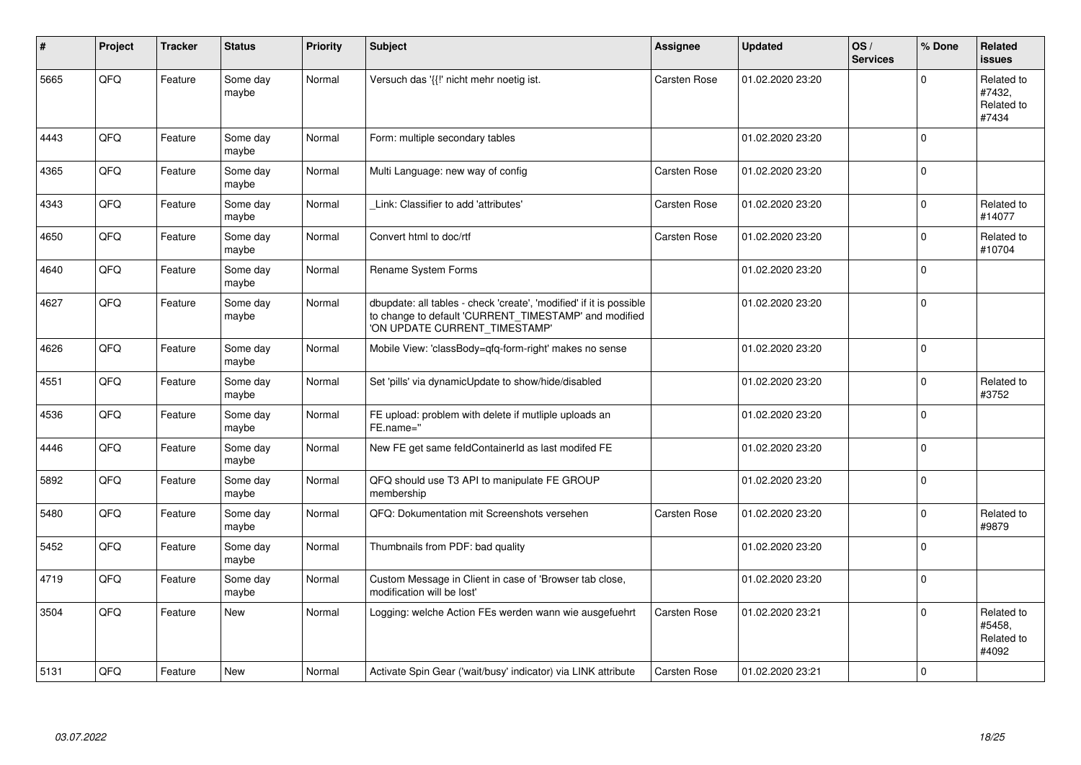| #    | Project | <b>Tracker</b> | <b>Status</b>     | <b>Priority</b> | <b>Subject</b>                                                                                                                                                | <b>Assignee</b>     | <b>Updated</b>   | OS/<br><b>Services</b> | % Done      | Related<br><b>issues</b>                    |
|------|---------|----------------|-------------------|-----------------|---------------------------------------------------------------------------------------------------------------------------------------------------------------|---------------------|------------------|------------------------|-------------|---------------------------------------------|
| 5665 | QFQ     | Feature        | Some day<br>maybe | Normal          | Versuch das '{{!' nicht mehr noetig ist.                                                                                                                      | Carsten Rose        | 01.02.2020 23:20 |                        | $\Omega$    | Related to<br>#7432,<br>Related to<br>#7434 |
| 4443 | QFQ     | Feature        | Some day<br>maybe | Normal          | Form: multiple secondary tables                                                                                                                               |                     | 01.02.2020 23:20 |                        | $\mathsf 0$ |                                             |
| 4365 | QFQ     | Feature        | Some day<br>maybe | Normal          | Multi Language: new way of config                                                                                                                             | Carsten Rose        | 01.02.2020 23:20 |                        | $\mathbf 0$ |                                             |
| 4343 | QFQ     | Feature        | Some day<br>maybe | Normal          | Link: Classifier to add 'attributes'                                                                                                                          | Carsten Rose        | 01.02.2020 23:20 |                        | $\mathbf 0$ | Related to<br>#14077                        |
| 4650 | QFQ     | Feature        | Some day<br>maybe | Normal          | Convert html to doc/rtf                                                                                                                                       | Carsten Rose        | 01.02.2020 23:20 |                        | $\mathbf 0$ | Related to<br>#10704                        |
| 4640 | QFQ     | Feature        | Some day<br>maybe | Normal          | Rename System Forms                                                                                                                                           |                     | 01.02.2020 23:20 |                        | $\mathbf 0$ |                                             |
| 4627 | QFQ     | Feature        | Some day<br>maybe | Normal          | dbupdate: all tables - check 'create', 'modified' if it is possible<br>to change to default 'CURRENT_TIMESTAMP' and modified<br>'ON UPDATE CURRENT_TIMESTAMP' |                     | 01.02.2020 23:20 |                        | $\pmb{0}$   |                                             |
| 4626 | QFQ     | Feature        | Some day<br>maybe | Normal          | Mobile View: 'classBody=qfq-form-right' makes no sense                                                                                                        |                     | 01.02.2020 23:20 |                        | $\mathsf 0$ |                                             |
| 4551 | QFQ     | Feature        | Some day<br>maybe | Normal          | Set 'pills' via dynamicUpdate to show/hide/disabled                                                                                                           |                     | 01.02.2020 23:20 |                        | $\mathbf 0$ | Related to<br>#3752                         |
| 4536 | QFQ     | Feature        | Some day<br>maybe | Normal          | FE upload: problem with delete if mutliple uploads an<br>FE.name="                                                                                            |                     | 01.02.2020 23:20 |                        | $\mathsf 0$ |                                             |
| 4446 | QFQ     | Feature        | Some day<br>maybe | Normal          | New FE get same feldContainerId as last modifed FE                                                                                                            |                     | 01.02.2020 23:20 |                        | $\pmb{0}$   |                                             |
| 5892 | QFQ     | Feature        | Some day<br>maybe | Normal          | QFQ should use T3 API to manipulate FE GROUP<br>membership                                                                                                    |                     | 01.02.2020 23:20 |                        | $\mathbf 0$ |                                             |
| 5480 | QFQ     | Feature        | Some day<br>maybe | Normal          | QFQ: Dokumentation mit Screenshots versehen                                                                                                                   | Carsten Rose        | 01.02.2020 23:20 |                        | $\mathbf 0$ | Related to<br>#9879                         |
| 5452 | QFQ     | Feature        | Some day<br>maybe | Normal          | Thumbnails from PDF: bad quality                                                                                                                              |                     | 01.02.2020 23:20 |                        | $\Omega$    |                                             |
| 4719 | QFQ     | Feature        | Some day<br>maybe | Normal          | Custom Message in Client in case of 'Browser tab close,<br>modification will be lost'                                                                         |                     | 01.02.2020 23:20 |                        | $\mathbf 0$ |                                             |
| 3504 | QFQ     | Feature        | New               | Normal          | Logging: welche Action FEs werden wann wie ausgefuehrt                                                                                                        | Carsten Rose        | 01.02.2020 23:21 |                        | $\mathbf 0$ | Related to<br>#5458.<br>Related to<br>#4092 |
| 5131 | QFQ     | Feature        | New               | Normal          | Activate Spin Gear ('wait/busy' indicator) via LINK attribute                                                                                                 | <b>Carsten Rose</b> | 01.02.2020 23:21 |                        | $\mathbf 0$ |                                             |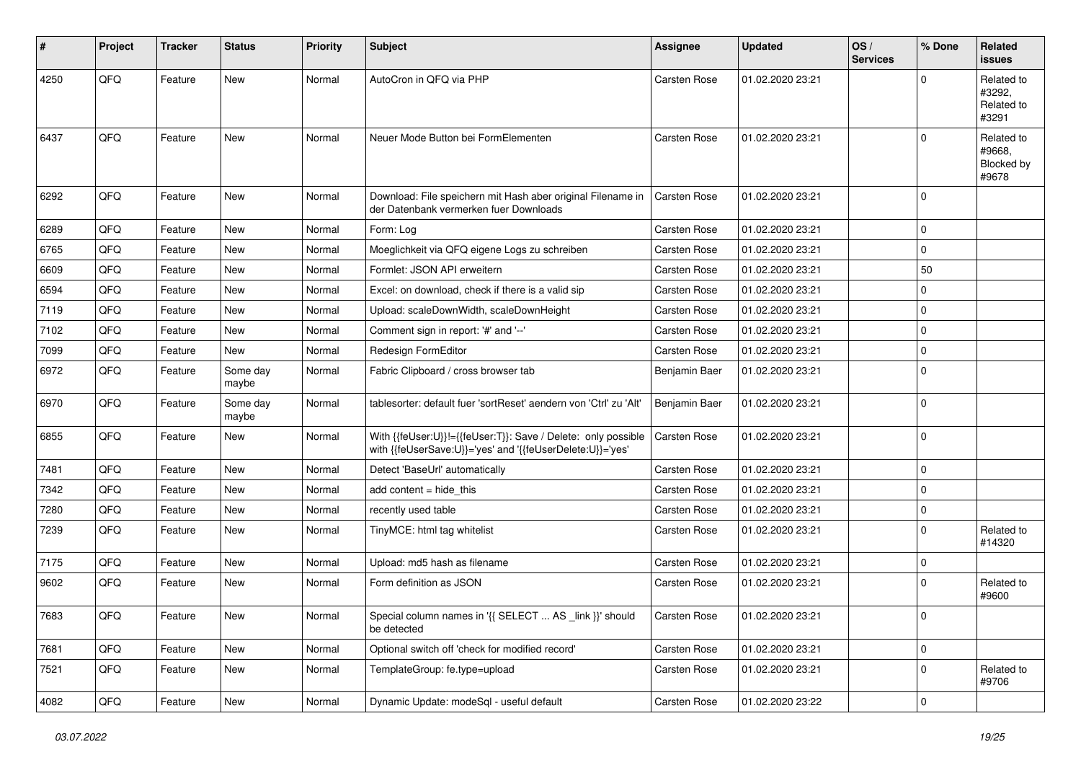| #    | Project    | <b>Tracker</b> | <b>Status</b>     | <b>Priority</b> | <b>Subject</b>                                                                                                             | <b>Assignee</b>     | <b>Updated</b>   | OS/<br><b>Services</b> | % Done              | Related<br><b>issues</b>                    |
|------|------------|----------------|-------------------|-----------------|----------------------------------------------------------------------------------------------------------------------------|---------------------|------------------|------------------------|---------------------|---------------------------------------------|
| 4250 | QFQ        | Feature        | New               | Normal          | AutoCron in QFQ via PHP                                                                                                    | Carsten Rose        | 01.02.2020 23:21 |                        | $\mathbf 0$         | Related to<br>#3292,<br>Related to<br>#3291 |
| 6437 | QFQ        | Feature        | New               | Normal          | Neuer Mode Button bei FormElementen                                                                                        | Carsten Rose        | 01.02.2020 23:21 |                        | $\mathbf 0$         | Related to<br>#9668,<br>Blocked by<br>#9678 |
| 6292 | QFQ        | Feature        | New               | Normal          | Download: File speichern mit Hash aber original Filename in<br>der Datenbank vermerken fuer Downloads                      | Carsten Rose        | 01.02.2020 23:21 |                        | $\mathbf 0$         |                                             |
| 6289 | QFQ        | Feature        | New               | Normal          | Form: Log                                                                                                                  | Carsten Rose        | 01.02.2020 23:21 |                        | $\mathbf 0$         |                                             |
| 6765 | QFQ        | Feature        | New               | Normal          | Moeglichkeit via QFQ eigene Logs zu schreiben                                                                              | Carsten Rose        | 01.02.2020 23:21 |                        | $\mathbf 0$         |                                             |
| 6609 | QFQ        | Feature        | New               | Normal          | Formlet: JSON API erweitern                                                                                                | Carsten Rose        | 01.02.2020 23:21 |                        | 50                  |                                             |
| 6594 | QFQ        | Feature        | New               | Normal          | Excel: on download, check if there is a valid sip                                                                          | Carsten Rose        | 01.02.2020 23:21 |                        | $\mathbf 0$         |                                             |
| 7119 | QFQ        | Feature        | New               | Normal          | Upload: scaleDownWidth, scaleDownHeight                                                                                    | Carsten Rose        | 01.02.2020 23:21 |                        | $\mathbf 0$         |                                             |
| 7102 | QFQ        | Feature        | New               | Normal          | Comment sign in report: '#' and '--'                                                                                       | Carsten Rose        | 01.02.2020 23:21 |                        | $\mathbf 0$         |                                             |
| 7099 | QFQ        | Feature        | New               | Normal          | Redesign FormEditor                                                                                                        | Carsten Rose        | 01.02.2020 23:21 |                        | $\mathbf 0$         |                                             |
| 6972 | QFQ        | Feature        | Some day<br>maybe | Normal          | Fabric Clipboard / cross browser tab                                                                                       | Benjamin Baer       | 01.02.2020 23:21 |                        | $\mathbf 0$         |                                             |
| 6970 | QFQ        | Feature        | Some day<br>maybe | Normal          | tablesorter: default fuer 'sortReset' aendern von 'Ctrl' zu 'Alt'                                                          | Benjamin Baer       | 01.02.2020 23:21 |                        | $\mathbf 0$         |                                             |
| 6855 | QFQ        | Feature        | New               | Normal          | With {{feUser:U}}!={{feUser:T}}: Save / Delete: only possible<br>with {{feUserSave:U}}='yes' and '{{feUserDelete:U}}='yes' | Carsten Rose        | 01.02.2020 23:21 |                        | $\mathbf 0$         |                                             |
| 7481 | QFQ        | Feature        | <b>New</b>        | Normal          | Detect 'BaseUrl' automatically                                                                                             | Carsten Rose        | 01.02.2020 23:21 |                        | $\mathbf 0$         |                                             |
| 7342 | QFQ        | Feature        | New               | Normal          | add content $=$ hide this                                                                                                  | Carsten Rose        | 01.02.2020 23:21 |                        | $\mathbf 0$         |                                             |
| 7280 | QFQ        | Feature        | New               | Normal          | recently used table                                                                                                        | Carsten Rose        | 01.02.2020 23:21 |                        | $\mathbf 0$         |                                             |
| 7239 | QFQ        | Feature        | New               | Normal          | TinyMCE: html tag whitelist                                                                                                | Carsten Rose        | 01.02.2020 23:21 |                        | $\mathbf 0$         | Related to<br>#14320                        |
| 7175 | QFQ        | Feature        | New               | Normal          | Upload: md5 hash as filename                                                                                               | Carsten Rose        | 01.02.2020 23:21 |                        | $\mathbf 0$         |                                             |
| 9602 | QFQ        | Feature        | New               | Normal          | Form definition as JSON                                                                                                    | <b>Carsten Rose</b> | 01.02.2020 23:21 |                        | $\mathbf 0$         | Related to<br>#9600                         |
| 7683 | <b>QFQ</b> | Feature        | New               | Normal          | Special column names in '{{ SELECT  AS _link }}' should<br>be detected                                                     | Carsten Rose        | 01.02.2020 23:21 |                        | 0                   |                                             |
| 7681 | QFQ        | Feature        | New               | Normal          | Optional switch off 'check for modified record'                                                                            | Carsten Rose        | 01.02.2020 23:21 |                        | $\mathbf 0$         |                                             |
| 7521 | QFQ        | Feature        | New               | Normal          | TemplateGroup: fe.type=upload                                                                                              | Carsten Rose        | 01.02.2020 23:21 |                        | 0                   | Related to<br>#9706                         |
| 4082 | QFQ        | Feature        | New               | Normal          | Dynamic Update: modeSql - useful default                                                                                   | Carsten Rose        | 01.02.2020 23:22 |                        | $\mathsf{O}\xspace$ |                                             |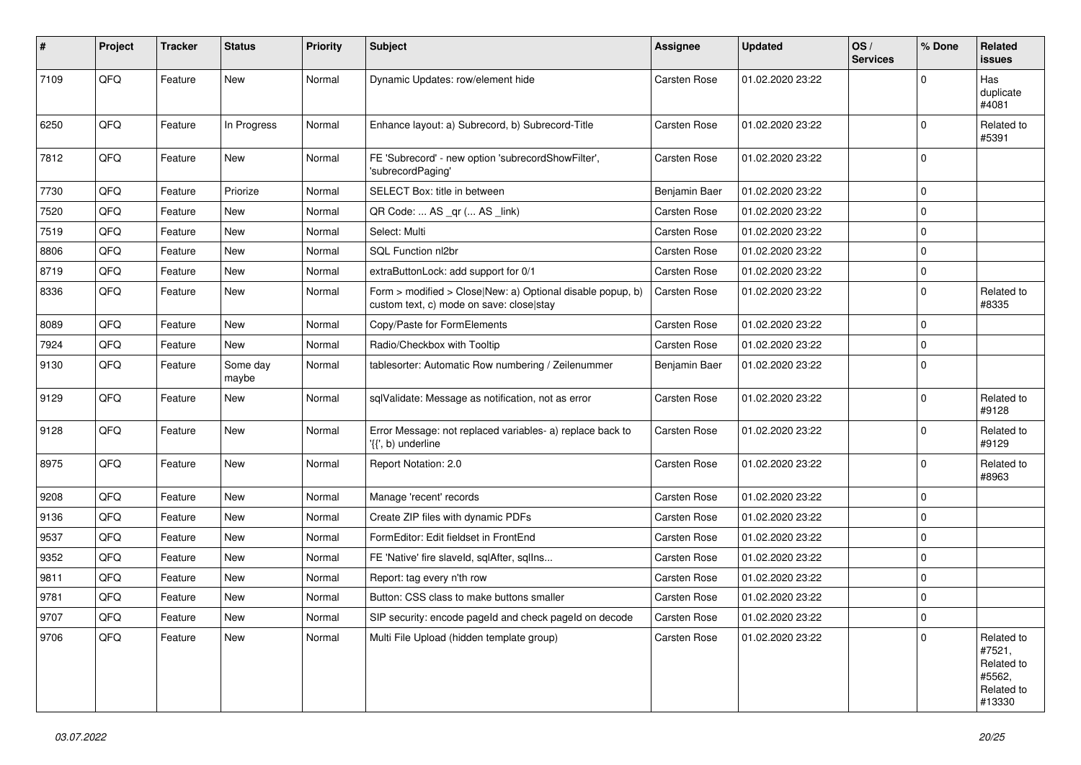| $\sharp$ | Project | <b>Tracker</b> | <b>Status</b>     | <b>Priority</b> | <b>Subject</b>                                                                                         | <b>Assignee</b> | <b>Updated</b>   | OS/<br><b>Services</b> | % Done      | Related<br><b>issues</b>                                             |
|----------|---------|----------------|-------------------|-----------------|--------------------------------------------------------------------------------------------------------|-----------------|------------------|------------------------|-------------|----------------------------------------------------------------------|
| 7109     | QFQ     | Feature        | New               | Normal          | Dynamic Updates: row/element hide                                                                      | Carsten Rose    | 01.02.2020 23:22 |                        | $\mathbf 0$ | Has<br>duplicate<br>#4081                                            |
| 6250     | QFQ     | Feature        | In Progress       | Normal          | Enhance layout: a) Subrecord, b) Subrecord-Title                                                       | Carsten Rose    | 01.02.2020 23:22 |                        | $\mathbf 0$ | Related to<br>#5391                                                  |
| 7812     | QFQ     | Feature        | New               | Normal          | FE 'Subrecord' - new option 'subrecordShowFilter',<br>'subrecordPaging'                                | Carsten Rose    | 01.02.2020 23:22 |                        | $\mathbf 0$ |                                                                      |
| 7730     | QFQ     | Feature        | Priorize          | Normal          | SELECT Box: title in between                                                                           | Benjamin Baer   | 01.02.2020 23:22 |                        | $\mathbf 0$ |                                                                      |
| 7520     | QFQ     | Feature        | New               | Normal          | QR Code:  AS _qr ( AS _link)                                                                           | Carsten Rose    | 01.02.2020 23:22 |                        | $\mathbf 0$ |                                                                      |
| 7519     | QFQ     | Feature        | New               | Normal          | Select: Multi                                                                                          | Carsten Rose    | 01.02.2020 23:22 |                        | $\mathbf 0$ |                                                                      |
| 8806     | QFQ     | Feature        | New               | Normal          | SQL Function nl2br                                                                                     | Carsten Rose    | 01.02.2020 23:22 |                        | $\mathbf 0$ |                                                                      |
| 8719     | QFQ     | Feature        | New               | Normal          | extraButtonLock: add support for 0/1                                                                   | Carsten Rose    | 01.02.2020 23:22 |                        | $\mathbf 0$ |                                                                      |
| 8336     | QFQ     | Feature        | New               | Normal          | Form > modified > Close New: a) Optional disable popup, b)<br>custom text, c) mode on save: close stay | Carsten Rose    | 01.02.2020 23:22 |                        | $\mathbf 0$ | Related to<br>#8335                                                  |
| 8089     | QFQ     | Feature        | New               | Normal          | Copy/Paste for FormElements                                                                            | Carsten Rose    | 01.02.2020 23:22 |                        | $\mathbf 0$ |                                                                      |
| 7924     | QFQ     | Feature        | New               | Normal          | Radio/Checkbox with Tooltip                                                                            | Carsten Rose    | 01.02.2020 23:22 |                        | $\mathbf 0$ |                                                                      |
| 9130     | QFQ     | Feature        | Some day<br>maybe | Normal          | tablesorter: Automatic Row numbering / Zeilenummer                                                     | Benjamin Baer   | 01.02.2020 23:22 |                        | $\mathbf 0$ |                                                                      |
| 9129     | QFQ     | Feature        | New               | Normal          | sqlValidate: Message as notification, not as error                                                     | Carsten Rose    | 01.02.2020 23:22 |                        | $\mathbf 0$ | Related to<br>#9128                                                  |
| 9128     | QFQ     | Feature        | New               | Normal          | Error Message: not replaced variables- a) replace back to<br>'{{', b) underline                        | Carsten Rose    | 01.02.2020 23:22 |                        | $\mathbf 0$ | Related to<br>#9129                                                  |
| 8975     | QFQ     | Feature        | New               | Normal          | Report Notation: 2.0                                                                                   | Carsten Rose    | 01.02.2020 23:22 |                        | $\mathbf 0$ | Related to<br>#8963                                                  |
| 9208     | QFQ     | Feature        | New               | Normal          | Manage 'recent' records                                                                                | Carsten Rose    | 01.02.2020 23:22 |                        | $\mathbf 0$ |                                                                      |
| 9136     | QFQ     | Feature        | New               | Normal          | Create ZIP files with dynamic PDFs                                                                     | Carsten Rose    | 01.02.2020 23:22 |                        | $\mathbf 0$ |                                                                      |
| 9537     | QFQ     | Feature        | New               | Normal          | FormEditor: Edit fieldset in FrontEnd                                                                  | Carsten Rose    | 01.02.2020 23:22 |                        | $\mathbf 0$ |                                                                      |
| 9352     | QFQ     | Feature        | New               | Normal          | FE 'Native' fire slaveld, sqlAfter, sqlIns                                                             | Carsten Rose    | 01.02.2020 23:22 |                        | $\mathbf 0$ |                                                                      |
| 9811     | QFQ     | Feature        | New               | Normal          | Report: tag every n'th row                                                                             | Carsten Rose    | 01.02.2020 23:22 |                        | $\mathbf 0$ |                                                                      |
| 9781     | QFQ     | Feature        | New               | Normal          | Button: CSS class to make buttons smaller                                                              | Carsten Rose    | 01.02.2020 23:22 |                        | $\mathbf 0$ |                                                                      |
| 9707     | QFQ     | Feature        | New               | Normal          | SIP security: encode pageld and check pageld on decode                                                 | Carsten Rose    | 01.02.2020 23:22 |                        | 0           |                                                                      |
| 9706     | QFQ     | Feature        | New               | Normal          | Multi File Upload (hidden template group)                                                              | Carsten Rose    | 01.02.2020 23:22 |                        | $\mathbf 0$ | Related to<br>#7521,<br>Related to<br>#5562,<br>Related to<br>#13330 |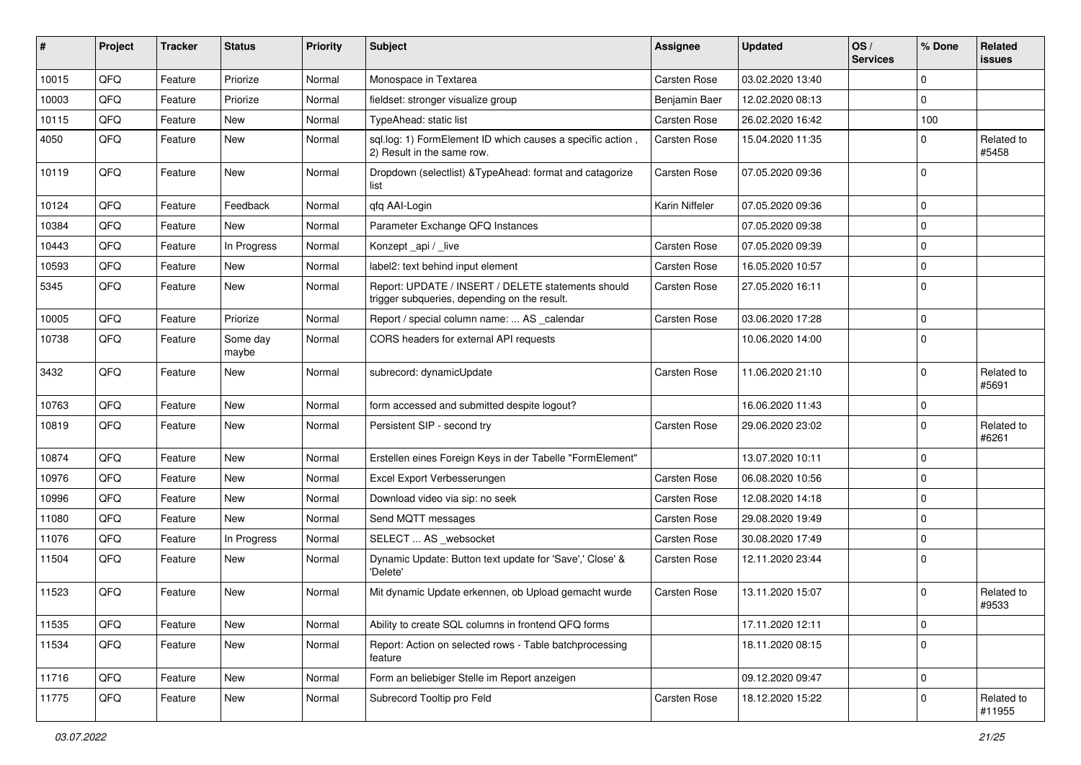| #     | Project | <b>Tracker</b> | <b>Status</b>     | <b>Priority</b> | Subject                                                                                            | Assignee       | <b>Updated</b>   | OS/<br><b>Services</b> | % Done      | Related<br>issues    |
|-------|---------|----------------|-------------------|-----------------|----------------------------------------------------------------------------------------------------|----------------|------------------|------------------------|-------------|----------------------|
| 10015 | QFQ     | Feature        | Priorize          | Normal          | Monospace in Textarea                                                                              | Carsten Rose   | 03.02.2020 13:40 |                        | $\Omega$    |                      |
| 10003 | QFQ     | Feature        | Priorize          | Normal          | fieldset: stronger visualize group                                                                 | Benjamin Baer  | 12.02.2020 08:13 |                        | $\mathbf 0$ |                      |
| 10115 | QFQ     | Feature        | New               | Normal          | TypeAhead: static list                                                                             | Carsten Rose   | 26.02.2020 16:42 |                        | 100         |                      |
| 4050  | QFQ     | Feature        | New               | Normal          | sql.log: 1) FormElement ID which causes a specific action,<br>2) Result in the same row.           | Carsten Rose   | 15.04.2020 11:35 |                        | 0           | Related to<br>#5458  |
| 10119 | QFQ     | Feature        | New               | Normal          | Dropdown (selectlist) & Type Ahead: format and catagorize<br>list                                  | Carsten Rose   | 07.05.2020 09:36 |                        | $\Omega$    |                      |
| 10124 | QFQ     | Feature        | Feedback          | Normal          | qfq AAI-Login                                                                                      | Karin Niffeler | 07.05.2020 09:36 |                        | 0           |                      |
| 10384 | QFQ     | Feature        | <b>New</b>        | Normal          | Parameter Exchange QFQ Instances                                                                   |                | 07.05.2020 09:38 |                        | $\Omega$    |                      |
| 10443 | QFQ     | Feature        | In Progress       | Normal          | Konzept_api / _live                                                                                | Carsten Rose   | 07.05.2020 09:39 |                        | $\Omega$    |                      |
| 10593 | QFQ     | Feature        | New               | Normal          | label2: text behind input element                                                                  | Carsten Rose   | 16.05.2020 10:57 |                        | $\mathbf 0$ |                      |
| 5345  | QFQ     | Feature        | New               | Normal          | Report: UPDATE / INSERT / DELETE statements should<br>trigger subqueries, depending on the result. | Carsten Rose   | 27.05.2020 16:11 |                        | $\Omega$    |                      |
| 10005 | QFQ     | Feature        | Priorize          | Normal          | Report / special column name:  AS _calendar                                                        | Carsten Rose   | 03.06.2020 17:28 |                        | $\mathbf 0$ |                      |
| 10738 | QFQ     | Feature        | Some day<br>maybe | Normal          | CORS headers for external API requests                                                             |                | 10.06.2020 14:00 |                        | $\mathbf 0$ |                      |
| 3432  | QFQ     | Feature        | New               | Normal          | subrecord: dynamicUpdate                                                                           | Carsten Rose   | 11.06.2020 21:10 |                        | $\Omega$    | Related to<br>#5691  |
| 10763 | QFQ     | Feature        | New               | Normal          | form accessed and submitted despite logout?                                                        |                | 16.06.2020 11:43 |                        | $\mathbf 0$ |                      |
| 10819 | QFQ     | Feature        | New               | Normal          | Persistent SIP - second try                                                                        | Carsten Rose   | 29.06.2020 23:02 |                        | 0           | Related to<br>#6261  |
| 10874 | QFQ     | Feature        | New               | Normal          | Erstellen eines Foreign Keys in der Tabelle "FormElement"                                          |                | 13.07.2020 10:11 |                        | $\mathbf 0$ |                      |
| 10976 | QFQ     | Feature        | New               | Normal          | Excel Export Verbesserungen                                                                        | Carsten Rose   | 06.08.2020 10:56 |                        | $\mathbf 0$ |                      |
| 10996 | QFQ     | Feature        | New               | Normal          | Download video via sip: no seek                                                                    | Carsten Rose   | 12.08.2020 14:18 |                        | $\Omega$    |                      |
| 11080 | QFQ     | Feature        | New               | Normal          | Send MQTT messages                                                                                 | Carsten Rose   | 29.08.2020 19:49 |                        | $\Omega$    |                      |
| 11076 | QFQ     | Feature        | In Progress       | Normal          | SELECT  AS _websocket                                                                              | Carsten Rose   | 30.08.2020 17:49 |                        | $\mathbf 0$ |                      |
| 11504 | QFQ     | Feature        | New               | Normal          | Dynamic Update: Button text update for 'Save',' Close' &<br>'Delete'                               | Carsten Rose   | 12.11.2020 23:44 |                        | $\Omega$    |                      |
| 11523 | QFQ     | Feature        | <b>New</b>        | Normal          | Mit dynamic Update erkennen, ob Upload gemacht wurde                                               | Carsten Rose   | 13.11.2020 15:07 |                        | $\Omega$    | Related to<br>#9533  |
| 11535 | QFQ     | Feature        | New               | Normal          | Ability to create SQL columns in frontend QFQ forms                                                |                | 17.11.2020 12:11 |                        | $\mathbf 0$ |                      |
| 11534 | QFQ     | Feature        | New               | Normal          | Report: Action on selected rows - Table batchprocessing<br>feature                                 |                | 18.11.2020 08:15 |                        | $\Omega$    |                      |
| 11716 | QFQ     | Feature        | New               | Normal          | Form an beliebiger Stelle im Report anzeigen                                                       |                | 09.12.2020 09:47 |                        | $\mathbf 0$ |                      |
| 11775 | QFQ     | Feature        | New               | Normal          | Subrecord Tooltip pro Feld                                                                         | Carsten Rose   | 18.12.2020 15:22 |                        | $\mathbf 0$ | Related to<br>#11955 |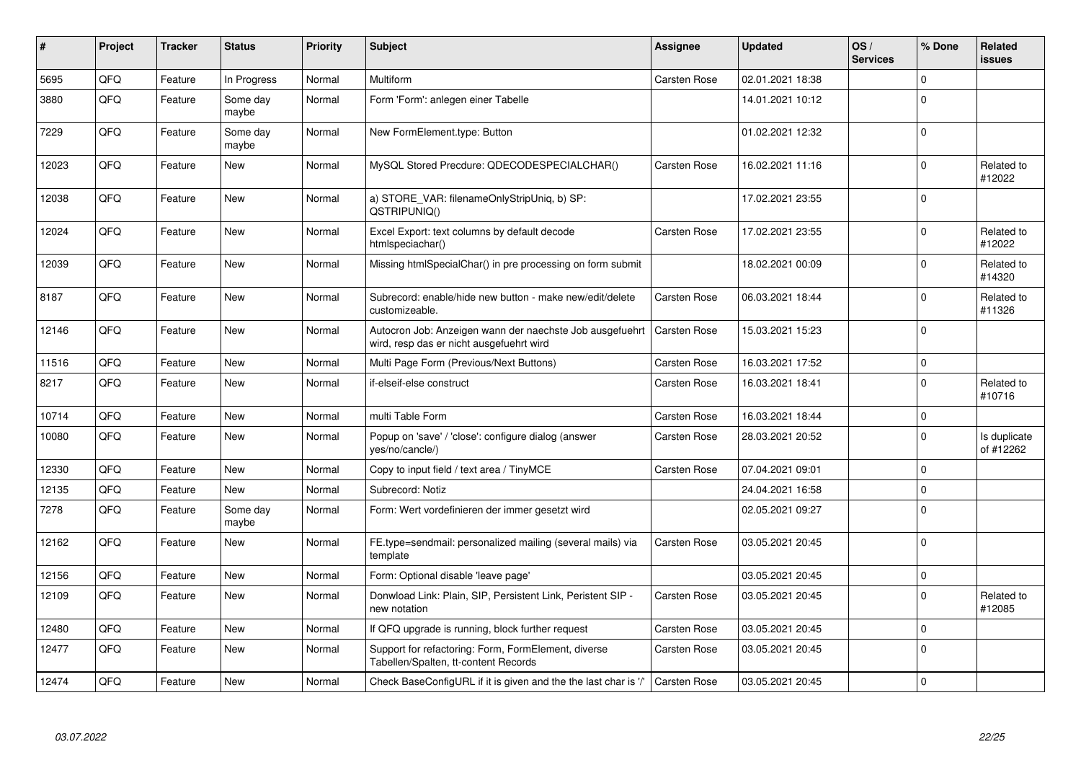| $\vert$ # | Project | <b>Tracker</b> | <b>Status</b>     | <b>Priority</b> | <b>Subject</b>                                                                                       | <b>Assignee</b>     | <b>Updated</b>   | OS/<br><b>Services</b> | % Done      | Related<br><b>issues</b>  |
|-----------|---------|----------------|-------------------|-----------------|------------------------------------------------------------------------------------------------------|---------------------|------------------|------------------------|-------------|---------------------------|
| 5695      | QFQ     | Feature        | In Progress       | Normal          | Multiform                                                                                            | Carsten Rose        | 02.01.2021 18:38 |                        | $\mathbf 0$ |                           |
| 3880      | QFQ     | Feature        | Some day<br>maybe | Normal          | Form 'Form': anlegen einer Tabelle                                                                   |                     | 14.01.2021 10:12 |                        | $\mathbf 0$ |                           |
| 7229      | QFQ     | Feature        | Some day<br>maybe | Normal          | New FormElement.type: Button                                                                         |                     | 01.02.2021 12:32 |                        | $\Omega$    |                           |
| 12023     | QFQ     | Feature        | New               | Normal          | MySQL Stored Precdure: QDECODESPECIALCHAR()                                                          | Carsten Rose        | 16.02.2021 11:16 |                        | $\pmb{0}$   | Related to<br>#12022      |
| 12038     | QFQ     | Feature        | <b>New</b>        | Normal          | a) STORE VAR: filenameOnlyStripUniq, b) SP:<br>QSTRIPUNIQ()                                          |                     | 17.02.2021 23:55 |                        | $\mathbf 0$ |                           |
| 12024     | QFQ     | Feature        | New               | Normal          | Excel Export: text columns by default decode<br>htmlspeciachar()                                     | Carsten Rose        | 17.02.2021 23:55 |                        | $\Omega$    | Related to<br>#12022      |
| 12039     | QFQ     | Feature        | New               | Normal          | Missing htmlSpecialChar() in pre processing on form submit                                           |                     | 18.02.2021 00:09 |                        | $\mathbf 0$ | Related to<br>#14320      |
| 8187      | QFQ     | Feature        | New               | Normal          | Subrecord: enable/hide new button - make new/edit/delete<br>customizeable.                           | Carsten Rose        | 06.03.2021 18:44 |                        | $\mathbf 0$ | Related to<br>#11326      |
| 12146     | QFQ     | Feature        | <b>New</b>        | Normal          | Autocron Job: Anzeigen wann der naechste Job ausgefuehrt<br>wird, resp das er nicht ausgefuehrt wird | <b>Carsten Rose</b> | 15.03.2021 15:23 |                        | $\mathbf 0$ |                           |
| 11516     | QFQ     | Feature        | <b>New</b>        | Normal          | Multi Page Form (Previous/Next Buttons)                                                              | Carsten Rose        | 16.03.2021 17:52 |                        | $\mathbf 0$ |                           |
| 8217      | QFQ     | Feature        | <b>New</b>        | Normal          | if-elseif-else construct                                                                             | Carsten Rose        | 16.03.2021 18:41 |                        | $\mathbf 0$ | Related to<br>#10716      |
| 10714     | QFQ     | Feature        | New               | Normal          | multi Table Form                                                                                     | Carsten Rose        | 16.03.2021 18:44 |                        | $\mathsf 0$ |                           |
| 10080     | QFQ     | Feature        | <b>New</b>        | Normal          | Popup on 'save' / 'close': configure dialog (answer<br>yes/no/cancle/)                               | Carsten Rose        | 28.03.2021 20:52 |                        | $\mathsf 0$ | Is duplicate<br>of #12262 |
| 12330     | QFQ     | Feature        | <b>New</b>        | Normal          | Copy to input field / text area / TinyMCE                                                            | Carsten Rose        | 07.04.2021 09:01 |                        | $\mathbf 0$ |                           |
| 12135     | QFQ     | Feature        | New               | Normal          | Subrecord: Notiz                                                                                     |                     | 24.04.2021 16:58 |                        | $\mathbf 0$ |                           |
| 7278      | QFQ     | Feature        | Some day<br>maybe | Normal          | Form: Wert vordefinieren der immer gesetzt wird                                                      |                     | 02.05.2021 09:27 |                        | $\Omega$    |                           |
| 12162     | QFQ     | Feature        | <b>New</b>        | Normal          | FE.type=sendmail: personalized mailing (several mails) via<br>template                               | Carsten Rose        | 03.05.2021 20:45 |                        | $\mathbf 0$ |                           |
| 12156     | QFQ     | Feature        | <b>New</b>        | Normal          | Form: Optional disable 'leave page'                                                                  |                     | 03.05.2021 20:45 |                        | $\mathbf 0$ |                           |
| 12109     | QFQ     | Feature        | New               | Normal          | Donwload Link: Plain, SIP, Persistent Link, Peristent SIP -<br>new notation                          | Carsten Rose        | 03.05.2021 20:45 |                        | $\pmb{0}$   | Related to<br>#12085      |
| 12480     | QFQ     | Feature        | <b>New</b>        | Normal          | If QFQ upgrade is running, block further request                                                     | Carsten Rose        | 03.05.2021 20:45 |                        | $\mathsf 0$ |                           |
| 12477     | QFQ     | Feature        | New               | Normal          | Support for refactoring: Form, FormElement, diverse<br>Tabellen/Spalten, tt-content Records          | Carsten Rose        | 03.05.2021 20:45 |                        | $\mathbf 0$ |                           |
| 12474     | QFQ     | Feature        | <b>New</b>        | Normal          | Check BaseConfigURL if it is given and the the last char is '/'                                      | <b>Carsten Rose</b> | 03.05.2021 20:45 |                        | $\mathbf 0$ |                           |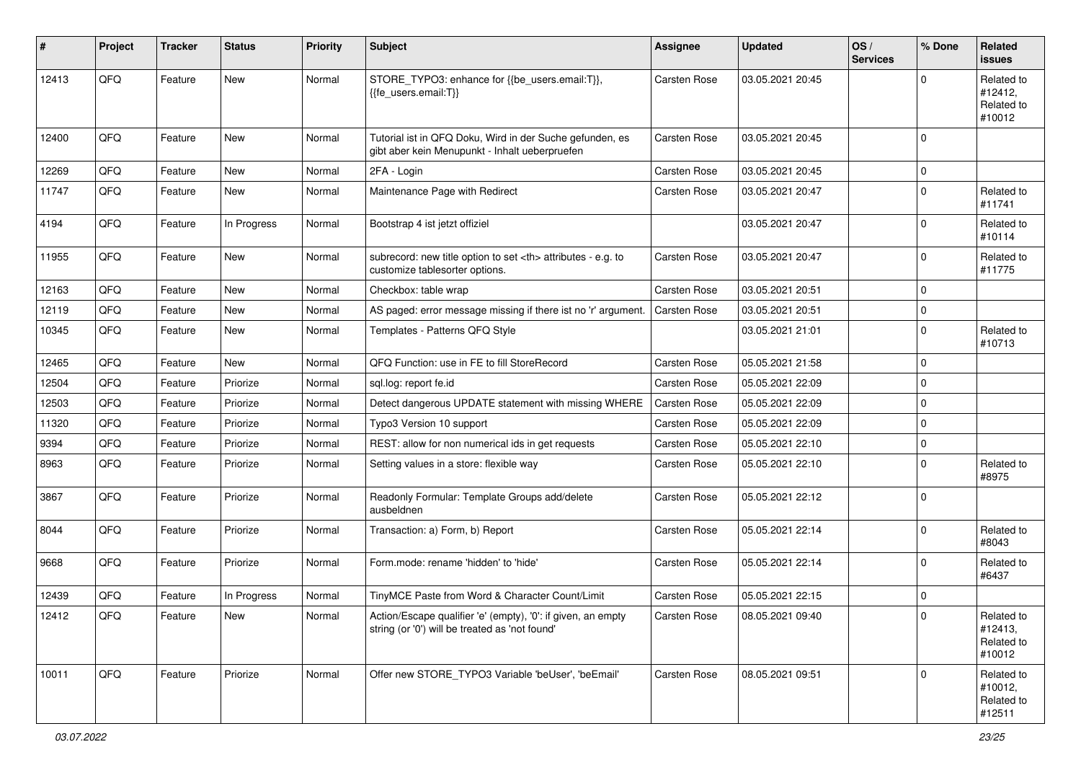| ∦     | Project    | <b>Tracker</b> | <b>Status</b> | <b>Priority</b> | <b>Subject</b>                                                                                                 | <b>Assignee</b>                                        | <b>Updated</b>   | OS/<br><b>Services</b> | % Done      | Related<br><b>issues</b>                      |                      |
|-------|------------|----------------|---------------|-----------------|----------------------------------------------------------------------------------------------------------------|--------------------------------------------------------|------------------|------------------------|-------------|-----------------------------------------------|----------------------|
| 12413 | QFQ        | Feature        | New           | Normal          | STORE_TYPO3: enhance for {{be_users.email:T}},<br>{{fe users.email:T}}                                         | <b>Carsten Rose</b>                                    | 03.05.2021 20:45 |                        | $\Omega$    | Related to<br>#12412,<br>Related to<br>#10012 |                      |
| 12400 | QFQ        | Feature        | <b>New</b>    | Normal          | Tutorial ist in QFQ Doku, Wird in der Suche gefunden, es<br>gibt aber kein Menupunkt - Inhalt ueberpruefen     | Carsten Rose                                           | 03.05.2021 20:45 |                        | $\Omega$    |                                               |                      |
| 12269 | QFQ        | Feature        | <b>New</b>    | Normal          | 2FA - Login                                                                                                    | Carsten Rose                                           | 03.05.2021 20:45 |                        | $\mathbf 0$ |                                               |                      |
| 11747 | QFQ        | Feature        | New           | Normal          | Maintenance Page with Redirect                                                                                 | Carsten Rose                                           | 03.05.2021 20:47 |                        | 0           | Related to<br>#11741                          |                      |
| 4194  | QFQ        | Feature        | In Progress   | Normal          | Bootstrap 4 ist jetzt offiziel                                                                                 |                                                        | 03.05.2021 20:47 |                        | 0           | Related to<br>#10114                          |                      |
| 11955 | QFQ        | Feature        | New           | Normal          | subrecord: new title option to set <th> attributes - e.g. to<br/>customize tablesorter options.</th>           | attributes - e.g. to<br>customize tablesorter options. | Carsten Rose     | 03.05.2021 20:47       |             | $\mathbf 0$                                   | Related to<br>#11775 |
| 12163 | QFQ        | Feature        | New           | Normal          | Checkbox: table wrap                                                                                           | Carsten Rose                                           | 03.05.2021 20:51 |                        | $\Omega$    |                                               |                      |
| 12119 | QFQ        | Feature        | New           | Normal          | AS paged: error message missing if there ist no 'r' argument.                                                  | Carsten Rose                                           | 03.05.2021 20:51 |                        | $\mathbf 0$ |                                               |                      |
| 10345 | QFQ        | Feature        | New           | Normal          | Templates - Patterns QFQ Style                                                                                 |                                                        | 03.05.2021 21:01 |                        | $\Omega$    | Related to<br>#10713                          |                      |
| 12465 | QFQ        | Feature        | <b>New</b>    | Normal          | QFQ Function: use in FE to fill StoreRecord                                                                    | Carsten Rose                                           | 05.05.2021 21:58 |                        | $\mathbf 0$ |                                               |                      |
| 12504 | QFQ        | Feature        | Priorize      | Normal          | sql.log: report fe.id                                                                                          | Carsten Rose                                           | 05.05.2021 22:09 |                        | $\mathbf 0$ |                                               |                      |
| 12503 | QFQ        | Feature        | Priorize      | Normal          | Detect dangerous UPDATE statement with missing WHERE                                                           | Carsten Rose                                           | 05.05.2021 22:09 |                        | $\mathbf 0$ |                                               |                      |
| 11320 | QFQ        | Feature        | Priorize      | Normal          | Typo3 Version 10 support                                                                                       | Carsten Rose                                           | 05.05.2021 22:09 |                        | $\mathbf 0$ |                                               |                      |
| 9394  | QFQ        | Feature        | Priorize      | Normal          | REST: allow for non numerical ids in get requests                                                              | Carsten Rose                                           | 05.05.2021 22:10 |                        | $\mathbf 0$ |                                               |                      |
| 8963  | QFQ        | Feature        | Priorize      | Normal          | Setting values in a store: flexible way                                                                        | Carsten Rose                                           | 05.05.2021 22:10 |                        | $\Omega$    | Related to<br>#8975                           |                      |
| 3867  | QFQ        | Feature        | Priorize      | Normal          | Readonly Formular: Template Groups add/delete<br>ausbeldnen                                                    | Carsten Rose                                           | 05.05.2021 22:12 |                        | $\mathbf 0$ |                                               |                      |
| 8044  | QFQ        | Feature        | Priorize      | Normal          | Transaction: a) Form, b) Report                                                                                | Carsten Rose                                           | 05.05.2021 22:14 |                        | $\Omega$    | Related to<br>#8043                           |                      |
| 9668  | QFQ        | Feature        | Priorize      | Normal          | Form.mode: rename 'hidden' to 'hide'                                                                           | Carsten Rose                                           | 05.05.2021 22:14 |                        | 0           | Related to<br>#6437                           |                      |
| 12439 | QFQ        | Feature        | In Progress   | Normal          | TinyMCE Paste from Word & Character Count/Limit                                                                | Carsten Rose                                           | 05.05.2021 22:15 |                        | $\mathbf 0$ |                                               |                      |
| 12412 | <b>QFQ</b> | Feature        | New           | Normal          | Action/Escape qualifier 'e' (empty), '0': if given, an empty<br>string (or '0') will be treated as 'not found' | Carsten Rose                                           | 08.05.2021 09:40 |                        | 0           | Related to<br>#12413,<br>Related to<br>#10012 |                      |
| 10011 | QFQ        | Feature        | Priorize      | Normal          | Offer new STORE_TYPO3 Variable 'beUser', 'beEmail'                                                             | Carsten Rose                                           | 08.05.2021 09:51 |                        | $\Omega$    | Related to<br>#10012,<br>Related to<br>#12511 |                      |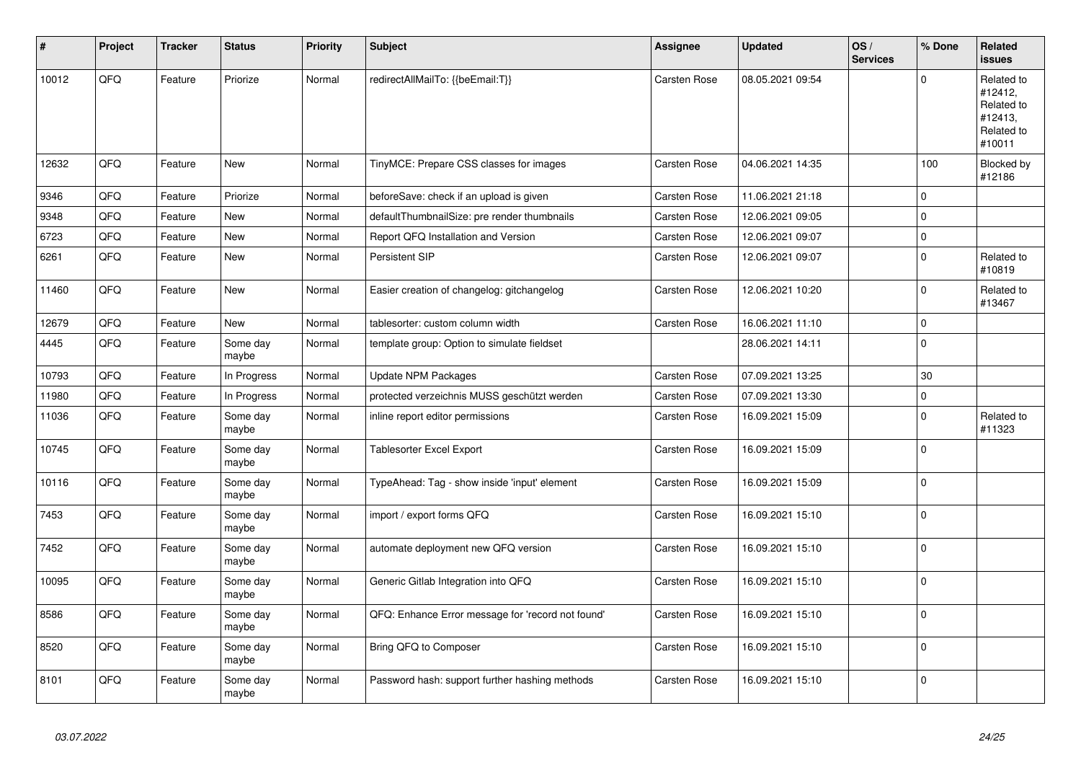| #     | Project | <b>Tracker</b> | <b>Status</b>     | Priority | <b>Subject</b>                                    | Assignee     | <b>Updated</b>   | OS/<br><b>Services</b> | % Done              | Related<br><b>issues</b>                                               |
|-------|---------|----------------|-------------------|----------|---------------------------------------------------|--------------|------------------|------------------------|---------------------|------------------------------------------------------------------------|
| 10012 | QFQ     | Feature        | Priorize          | Normal   | redirectAllMailTo: {{beEmail:T}}                  | Carsten Rose | 08.05.2021 09:54 |                        | $\Omega$            | Related to<br>#12412,<br>Related to<br>#12413,<br>Related to<br>#10011 |
| 12632 | QFQ     | Feature        | New               | Normal   | TinyMCE: Prepare CSS classes for images           | Carsten Rose | 04.06.2021 14:35 |                        | 100                 | Blocked by<br>#12186                                                   |
| 9346  | QFQ     | Feature        | Priorize          | Normal   | beforeSave: check if an upload is given           | Carsten Rose | 11.06.2021 21:18 |                        | $\mathsf 0$         |                                                                        |
| 9348  | QFQ     | Feature        | New               | Normal   | defaultThumbnailSize: pre render thumbnails       | Carsten Rose | 12.06.2021 09:05 |                        | $\mathsf{O}\xspace$ |                                                                        |
| 6723  | QFQ     | Feature        | New               | Normal   | Report QFQ Installation and Version               | Carsten Rose | 12.06.2021 09:07 |                        | $\mathsf{O}\xspace$ |                                                                        |
| 6261  | QFQ     | Feature        | <b>New</b>        | Normal   | Persistent SIP                                    | Carsten Rose | 12.06.2021 09:07 |                        | $\mathbf 0$         | Related to<br>#10819                                                   |
| 11460 | QFQ     | Feature        | New               | Normal   | Easier creation of changelog: gitchangelog        | Carsten Rose | 12.06.2021 10:20 |                        | $\pmb{0}$           | Related to<br>#13467                                                   |
| 12679 | QFQ     | Feature        | <b>New</b>        | Normal   | tablesorter: custom column width                  | Carsten Rose | 16.06.2021 11:10 |                        | $\pmb{0}$           |                                                                        |
| 4445  | QFQ     | Feature        | Some day<br>maybe | Normal   | template group: Option to simulate fieldset       |              | 28.06.2021 14:11 |                        | $\mathbf 0$         |                                                                        |
| 10793 | QFQ     | Feature        | In Progress       | Normal   | <b>Update NPM Packages</b>                        | Carsten Rose | 07.09.2021 13:25 |                        | 30                  |                                                                        |
| 11980 | QFQ     | Feature        | In Progress       | Normal   | protected verzeichnis MUSS geschützt werden       | Carsten Rose | 07.09.2021 13:30 |                        | $\mathbf 0$         |                                                                        |
| 11036 | QFQ     | Feature        | Some day<br>maybe | Normal   | inline report editor permissions                  | Carsten Rose | 16.09.2021 15:09 |                        | $\mathsf 0$         | Related to<br>#11323                                                   |
| 10745 | QFQ     | Feature        | Some day<br>maybe | Normal   | Tablesorter Excel Export                          | Carsten Rose | 16.09.2021 15:09 |                        | $\mathbf 0$         |                                                                        |
| 10116 | QFQ     | Feature        | Some day<br>maybe | Normal   | TypeAhead: Tag - show inside 'input' element      | Carsten Rose | 16.09.2021 15:09 |                        | $\mathsf 0$         |                                                                        |
| 7453  | QFQ     | Feature        | Some day<br>maybe | Normal   | import / export forms QFQ                         | Carsten Rose | 16.09.2021 15:10 |                        | $\mathbf 0$         |                                                                        |
| 7452  | QFQ     | Feature        | Some day<br>maybe | Normal   | automate deployment new QFQ version               | Carsten Rose | 16.09.2021 15:10 |                        | $\mathsf 0$         |                                                                        |
| 10095 | QFQ     | Feature        | Some day<br>maybe | Normal   | Generic Gitlab Integration into QFQ               | Carsten Rose | 16.09.2021 15:10 |                        | $\mathbf 0$         |                                                                        |
| 8586  | QFQ     | Feature        | Some day<br>maybe | Normal   | QFQ: Enhance Error message for 'record not found' | Carsten Rose | 16.09.2021 15:10 |                        | $\pmb{0}$           |                                                                        |
| 8520  | QFQ     | Feature        | Some day<br>maybe | Normal   | Bring QFQ to Composer                             | Carsten Rose | 16.09.2021 15:10 |                        | $\mathbf 0$         |                                                                        |
| 8101  | QFQ     | Feature        | Some day<br>maybe | Normal   | Password hash: support further hashing methods    | Carsten Rose | 16.09.2021 15:10 |                        | $\Omega$            |                                                                        |